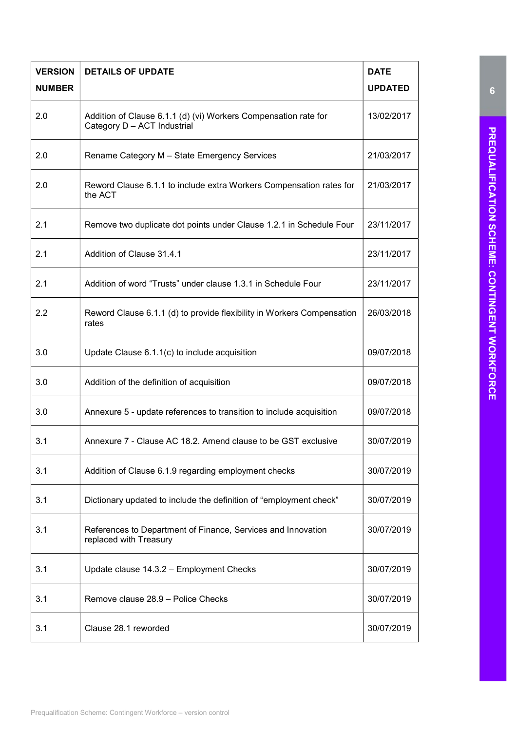| <b>VERSION</b> | <b>DETAILS OF UPDATE</b>                                                                       | <b>DATE</b>    |
|----------------|------------------------------------------------------------------------------------------------|----------------|
| <b>NUMBER</b>  |                                                                                                | <b>UPDATED</b> |
| 2.0            | Addition of Clause 6.1.1 (d) (vi) Workers Compensation rate for<br>Category D - ACT Industrial | 13/02/2017     |
| 2.0            | Rename Category M - State Emergency Services                                                   | 21/03/2017     |
| 2.0            | Reword Clause 6.1.1 to include extra Workers Compensation rates for<br>the ACT                 | 21/03/2017     |
| 2.1            | Remove two duplicate dot points under Clause 1.2.1 in Schedule Four                            | 23/11/2017     |
| 2.1            | Addition of Clause 31.4.1                                                                      | 23/11/2017     |
| 2.1            | Addition of word "Trusts" under clause 1.3.1 in Schedule Four                                  | 23/11/2017     |
| 2.2            | Reword Clause 6.1.1 (d) to provide flexibility in Workers Compensation<br>rates                | 26/03/2018     |
| 3.0            | Update Clause 6.1.1(c) to include acquisition                                                  | 09/07/2018     |
| 3.0            | Addition of the definition of acquisition                                                      | 09/07/2018     |
| 3.0            | Annexure 5 - update references to transition to include acquisition                            | 09/07/2018     |
| 3.1            | Annexure 7 - Clause AC 18.2. Amend clause to be GST exclusive                                  | 30/07/2019     |
| 3.1            | Addition of Clause 6.1.9 regarding employment checks                                           | 30/07/2019     |
| 3.1            | Dictionary updated to include the definition of "employment check"                             | 30/07/2019     |
| 3.1            | References to Department of Finance, Services and Innovation<br>replaced with Treasury         | 30/07/2019     |
| 3.1            | Update clause 14.3.2 - Employment Checks                                                       | 30/07/2019     |
| 3.1            | Remove clause 28.9 - Police Checks                                                             | 30/07/2019     |
| 3.1            | Clause 28.1 reworded                                                                           | 30/07/2019     |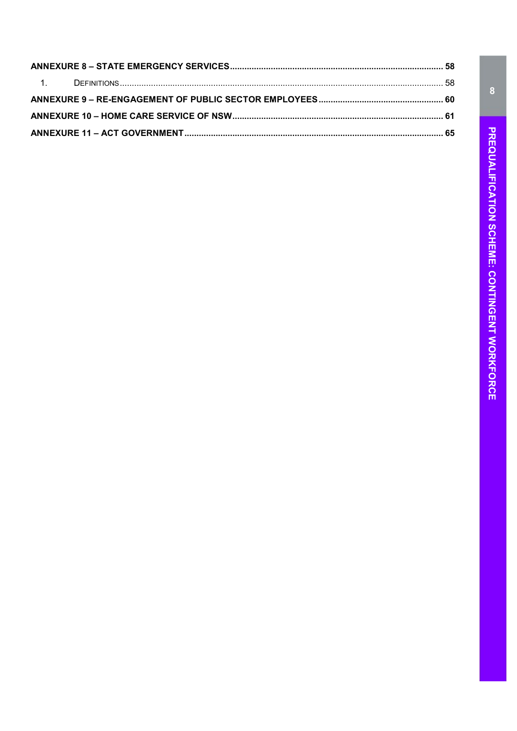$\overline{\mathbf{8}}$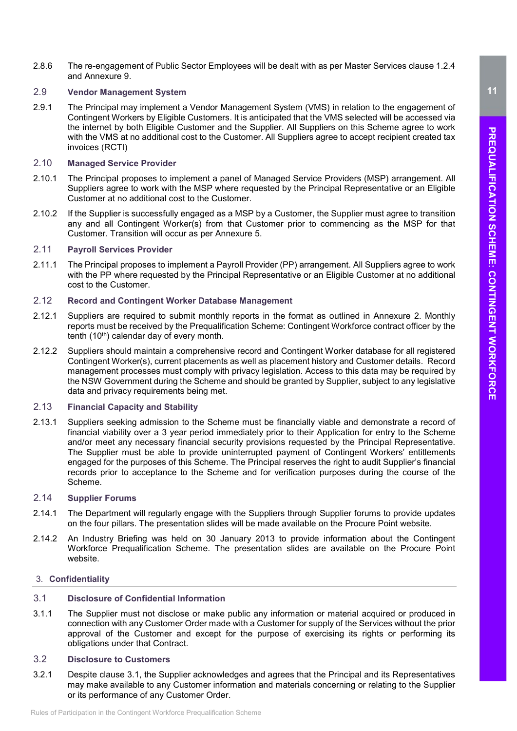2.8.6 The re-engagement of Public Sector Employees will be dealt with as per Master Services clause 1.2.4 and Annexure 9.

#### 2.9 Vendor Management System

 2.9.1 The Principal may implement a Vendor Management System (VMS) in relation to the engagement of Contingent Workers by Eligible Customers. It is anticipated that the VMS selected will be accessed via the internet by both Eligible Customer and the Supplier. All Suppliers on this Scheme agree to work with the VMS at no additional cost to the Customer. All Suppliers agree to accept recipient created tax invoices (RCTI)

#### 2.10 Managed Service Provider

- 2.10.1 The Principal proposes to implement a panel of Managed Service Providers (MSP) arrangement. All Suppliers agree to work with the MSP where requested by the Principal Representative or an Eligible Customer at no additional cost to the Customer.
- 2.10.2 If the Supplier is successfully engaged as a MSP by a Customer, the Supplier must agree to transition any and all Contingent Worker(s) from that Customer prior to commencing as the MSP for that Customer. Transition will occur as per Annexure 5.

#### 2.11 Payroll Services Provider

 2.11.1 The Principal proposes to implement a Payroll Provider (PP) arrangement. All Suppliers agree to work with the PP where requested by the Principal Representative or an Eligible Customer at no additional cost to the Customer.

#### 2.12 Record and Contingent Worker Database Management

- 2.12.1 Suppliers are required to submit monthly reports in the format as outlined in Annexure 2. Monthly reports must be received by the Prequalification Scheme: Contingent Workforce contract officer by the tenth  $(10<sup>th</sup>)$  calendar day of every month.
- 2.12.2 Suppliers should maintain a comprehensive record and Contingent Worker database for all registered Contingent Worker(s), current placements as well as placement history and Customer details. Record management processes must comply with privacy legislation. Access to this data may be required by the NSW Government during the Scheme and should be granted by Supplier, subject to any legislative data and privacy requirements being met.

### 2.13 Financial Capacity and Stability

 2.13.1 Suppliers seeking admission to the Scheme must be financially viable and demonstrate a record of financial viability over a 3 year period immediately prior to their Application for entry to the Scheme and/or meet any necessary financial security provisions requested by the Principal Representative. The Supplier must be able to provide uninterrupted payment of Contingent Workers' entitlements engaged for the purposes of this Scheme. The Principal reserves the right to audit Supplier's financial records prior to acceptance to the Scheme and for verification purposes during the course of the Scheme.

#### 2.14 Supplier Forums

- 2.14.1 The Department will regularly engage with the Suppliers through Supplier forums to provide updates on the four pillars. The presentation slides will be made available on the Procure Point website.
- 2.14.2 An Industry Briefing was held on 30 January 2013 to provide information about the Contingent Workforce Prequalification Scheme. The presentation slides are available on the Procure Point website.

#### 3. Confidentiality

### 3.1 Disclosure of Confidential Information

 3.1.1 The Supplier must not disclose or make public any information or material acquired or produced in connection with any Customer Order made with a Customer for supply of the Services without the prior approval of the Customer and except for the purpose of exercising its rights or performing its obligations under that Contract.

### 3.2 Disclosure to Customers

 3.2.1 Despite clause 3.1, the Supplier acknowledges and agrees that the Principal and its Representatives may make available to any Customer information and materials concerning or relating to the Supplier or its performance of any Customer Order.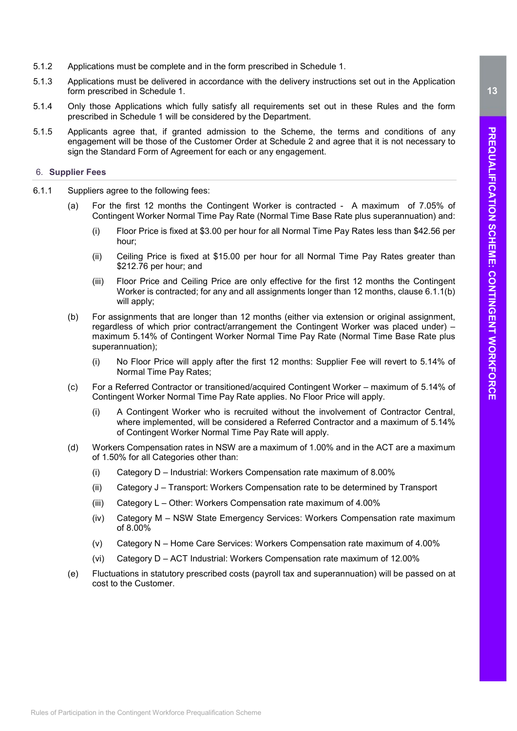- 5.1.2 Applications must be complete and in the form prescribed in Schedule 1.
- 5.1.3 Applications must be delivered in accordance with the delivery instructions set out in the Application form prescribed in Schedule 1.
- 5.1.4 Only those Applications which fully satisfy all requirements set out in these Rules and the form prescribed in Schedule 1 will be considered by the Department.
- 5.1.5 Applicants agree that, if granted admission to the Scheme, the terms and conditions of any engagement will be those of the Customer Order at Schedule 2 and agree that it is not necessary to sign the Standard Form of Agreement for each or any engagement.

#### 6. Supplier Fees

- 6.1.1 Suppliers agree to the following fees:
	- (a) For the first 12 months the Contingent Worker is contracted A maximum of 7.05% of Contingent Worker Normal Time Pay Rate (Normal Time Base Rate plus superannuation) and:
		- (i) Floor Price is fixed at \$3.00 per hour for all Normal Time Pay Rates less than \$42.56 per hour;
		- (ii) Ceiling Price is fixed at \$15.00 per hour for all Normal Time Pay Rates greater than \$212.76 per hour; and
		- (iii) Floor Price and Ceiling Price are only effective for the first 12 months the Contingent Worker is contracted; for any and all assignments longer than 12 months, clause 6.1.1(b) will apply:
	- (b) For assignments that are longer than 12 months (either via extension or original assignment, regardless of which prior contract/arrangement the Contingent Worker was placed under) – maximum 5.14% of Contingent Worker Normal Time Pay Rate (Normal Time Base Rate plus superannuation);
		- (i) No Floor Price will apply after the first 12 months: Supplier Fee will revert to 5.14% of Normal Time Pay Rates;
	- (c) For a Referred Contractor or transitioned/acquired Contingent Worker maximum of 5.14% of Contingent Worker Normal Time Pay Rate applies. No Floor Price will apply.
		- (i) A Contingent Worker who is recruited without the involvement of Contractor Central, where implemented, will be considered a Referred Contractor and a maximum of 5.14% of Contingent Worker Normal Time Pay Rate will apply.
	- (d) Workers Compensation rates in NSW are a maximum of 1.00% and in the ACT are a maximum of 1.50% for all Categories other than:
		- (i) Category D Industrial: Workers Compensation rate maximum of 8.00%
		- (ii) Category J Transport: Workers Compensation rate to be determined by Transport
		- (iii) Category L Other: Workers Compensation rate maximum of 4.00%
		- (iv) Category M NSW State Emergency Services: Workers Compensation rate maximum of 8.00%
		- (v) Category N Home Care Services: Workers Compensation rate maximum of 4.00%
		- (vi) Category D ACT Industrial: Workers Compensation rate maximum of 12.00%
	- (e) Fluctuations in statutory prescribed costs (payroll tax and superannuation) will be passed on at cost to the Customer.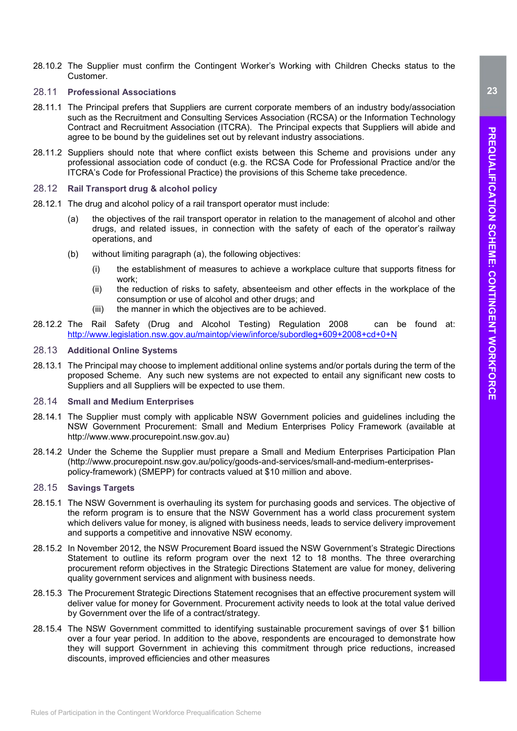28.10.2 The Supplier must confirm the Contingent Worker's Working with Children Checks status to the Customer.

### 28.11 Professional Associations

- 28.11.1 The Principal prefers that Suppliers are current corporate members of an industry body/association such as the Recruitment and Consulting Services Association (RCSA) or the Information Technology Contract and Recruitment Association (ITCRA). The Principal expects that Suppliers will abide and agree to be bound by the guidelines set out by relevant industry associations.
- 28.11.2 Suppliers should note that where conflict exists between this Scheme and provisions under any professional association code of conduct (e.g. the RCSA Code for Professional Practice and/or the ITCRA's Code for Professional Practice) the provisions of this Scheme take precedence.

#### 28.12 Rail Transport drug & alcohol policy

- 28.12.1 The drug and alcohol policy of a rail transport operator must include:
	- (a) the objectives of the rail transport operator in relation to the management of alcohol and other drugs, and related issues, in connection with the safety of each of the operator's railway operations, and
	- (b) without limiting paragraph (a), the following objectives:
		- (i) the establishment of measures to achieve a workplace culture that supports fitness for work;
		- (ii) the reduction of risks to safety, absenteeism and other effects in the workplace of the consumption or use of alcohol and other drugs; and
		- (iii) the manner in which the objectives are to be achieved.
- 28.12.2 The Rail Safety (Drug and Alcohol Testing) Regulation 2008 can be found at: http://www.legislation.nsw.gov.au/maintop/view/inforce/subordleg+609+2008+cd+0+N

#### 28.13 Additional Online Systems

 28.13.1 The Principal may choose to implement additional online systems and/or portals during the term of the proposed Scheme. Any such new systems are not expected to entail any significant new costs to Suppliers and all Suppliers will be expected to use them.

#### 28.14 Small and Medium Enterprises

- 28.14.1 The Supplier must comply with applicable NSW Government policies and guidelines including the NSW Government Procurement: Small and Medium Enterprises Policy Framework (available at http://www.www.procurepoint.nsw.gov.au)
- 28.14.2 Under the Scheme the Supplier must prepare a Small and Medium Enterprises Participation Plan (http://www.procurepoint.nsw.gov.au/policy/goods-and-services/small-and-medium-enterprisespolicy-framework) (SMEPP) for contracts valued at \$10 million and above.

### 28.15 Savings Targets

- 28.15.1 The NSW Government is overhauling its system for purchasing goods and services. The objective of the reform program is to ensure that the NSW Government has a world class procurement system which delivers value for money, is aligned with business needs, leads to service delivery improvement and supports a competitive and innovative NSW economy.
- 28.15.2 In November 2012, the NSW Procurement Board issued the NSW Government's Strategic Directions Statement to outline its reform program over the next 12 to 18 months. The three overarching procurement reform objectives in the Strategic Directions Statement are value for money, delivering quality government services and alignment with business needs.
- 28.15.3 The Procurement Strategic Directions Statement recognises that an effective procurement system will deliver value for money for Government. Procurement activity needs to look at the total value derived by Government over the life of a contract/strategy.
- 28.15.4 The NSW Government committed to identifying sustainable procurement savings of over \$1 billion over a four year period. In addition to the above, respondents are encouraged to demonstrate how they will support Government in achieving this commitment through price reductions, increased discounts, improved efficiencies and other measures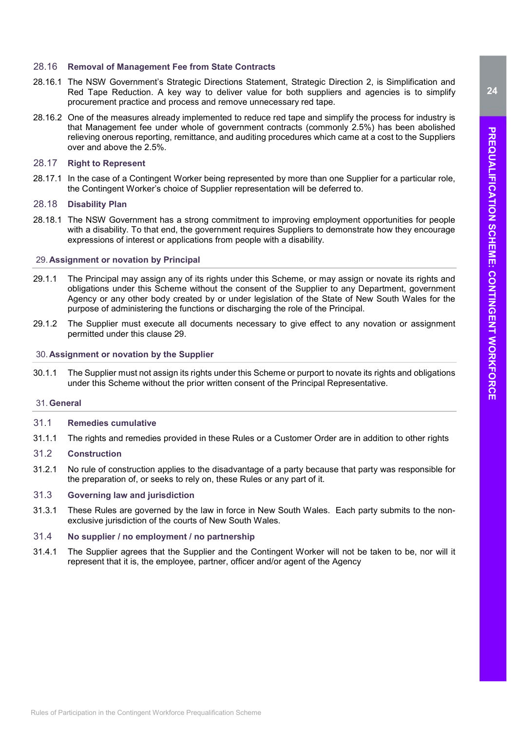#### 28.16 Removal of Management Fee from State Contracts

- 28.16.1 The NSW Government's Strategic Directions Statement, Strategic Direction 2, is Simplification and Red Tape Reduction. A key way to deliver value for both suppliers and agencies is to simplify procurement practice and process and remove unnecessary red tape.
- 28.16.2 One of the measures already implemented to reduce red tape and simplify the process for industry is that Management fee under whole of government contracts (commonly 2.5%) has been abolished relieving onerous reporting, remittance, and auditing procedures which came at a cost to the Suppliers over and above the 2.5%.

#### 28.17 Right to Represent

 28.17.1 In the case of a Contingent Worker being represented by more than one Supplier for a particular role, the Contingent Worker's choice of Supplier representation will be deferred to.

#### 28.18 Disability Plan

 28.18.1 The NSW Government has a strong commitment to improving employment opportunities for people with a disability. To that end, the government requires Suppliers to demonstrate how they encourage expressions of interest or applications from people with a disability.

#### 29. Assignment or novation by Principal

- 29.1.1 The Principal may assign any of its rights under this Scheme, or may assign or novate its rights and obligations under this Scheme without the consent of the Supplier to any Department, government Agency or any other body created by or under legislation of the State of New South Wales for the purpose of administering the functions or discharging the role of the Principal.
- 29.1.2 The Supplier must execute all documents necessary to give effect to any novation or assignment permitted under this clause 29.

#### 30. Assignment or novation by the Supplier

 30.1.1 The Supplier must not assign its rights under this Scheme or purport to novate its rights and obligations under this Scheme without the prior written consent of the Principal Representative.

### 31. General

- 31.1 Remedies cumulative
- 31.1.1 The rights and remedies provided in these Rules or a Customer Order are in addition to other rights
- 31.2 Construction
- 31.2.1 No rule of construction applies to the disadvantage of a party because that party was responsible for the preparation of, or seeks to rely on, these Rules or any part of it.

#### 31.3 Governing law and jurisdiction

- 31.3.1 These Rules are governed by the law in force in New South Wales. Each party submits to the nonexclusive jurisdiction of the courts of New South Wales.
- 31.4 No supplier / no employment / no partnership
- 31.4.1 The Supplier agrees that the Supplier and the Contingent Worker will not be taken to be, nor will it represent that it is, the employee, partner, officer and/or agent of the Agency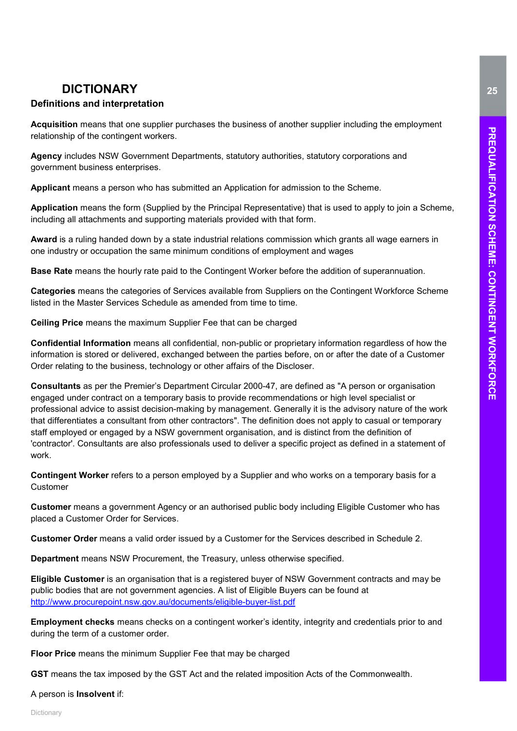# DICTIONARY

### Definitions and interpretation

Acquisition means that one supplier purchases the business of another supplier including the employment relationship of the contingent workers.

Agency includes NSW Government Departments, statutory authorities, statutory corporations and government business enterprises.

Applicant means a person who has submitted an Application for admission to the Scheme.

Application means the form (Supplied by the Principal Representative) that is used to apply to join a Scheme, including all attachments and supporting materials provided with that form.

Award is a ruling handed down by a state industrial relations commission which grants all wage earners in one industry or occupation the same minimum conditions of employment and wages

**Base Rate** means the hourly rate paid to the Contingent Worker before the addition of superannuation.

Categories means the categories of Services available from Suppliers on the Contingent Workforce Scheme listed in the Master Services Schedule as amended from time to time.

Ceiling Price means the maximum Supplier Fee that can be charged

Confidential Information means all confidential, non-public or proprietary information regardless of how the information is stored or delivered, exchanged between the parties before, on or after the date of a Customer Order relating to the business, technology or other affairs of the Discloser.

Consultants as per the Premier's Department Circular 2000-47, are defined as "A person or organisation engaged under contract on a temporary basis to provide recommendations or high level specialist or professional advice to assist decision-making by management. Generally it is the advisory nature of the work that differentiates a consultant from other contractors". The definition does not apply to casual or temporary staff employed or engaged by a NSW government organisation, and is distinct from the definition of 'contractor'. Consultants are also professionals used to deliver a specific project as defined in a statement of work.

Contingent Worker refers to a person employed by a Supplier and who works on a temporary basis for a Customer

Customer means a government Agency or an authorised public body including Eligible Customer who has placed a Customer Order for Services.

Customer Order means a valid order issued by a Customer for the Services described in Schedule 2.

Department means NSW Procurement, the Treasury, unless otherwise specified.

Eligible Customer is an organisation that is a registered buyer of NSW Government contracts and may be public bodies that are not government agencies. A list of Eligible Buyers can be found at http://www.procurepoint.nsw.gov.au/documents/eligible-buyer-list.pdf

Employment checks means checks on a contingent worker's identity, integrity and credentials prior to and during the term of a customer order.

Floor Price means the minimum Supplier Fee that may be charged

GST means the tax imposed by the GST Act and the related imposition Acts of the Commonwealth.

A person is Insolvent if: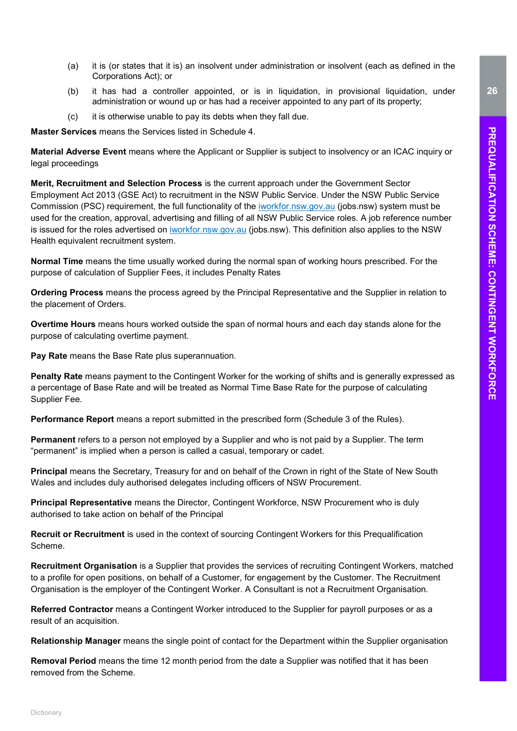- (a) it is (or states that it is) an insolvent under administration or insolvent (each as defined in the Corporations Act); or
- (b) it has had a controller appointed, or is in liquidation, in provisional liquidation, under administration or wound up or has had a receiver appointed to any part of its property;
- (c) it is otherwise unable to pay its debts when they fall due.

Master Services means the Services listed in Schedule 4.

Material Adverse Event means where the Applicant or Supplier is subject to insolvency or an ICAC inquiry or legal proceedings

Merit, Recruitment and Selection Process is the current approach under the Government Sector Employment Act 2013 (GSE Act) to recruitment in the NSW Public Service. Under the NSW Public Service Commission (PSC) requirement, the full functionality of the iworkfor.nsw.gov.au (jobs.nsw) system must be used for the creation, approval, advertising and filling of all NSW Public Service roles. A job reference number is issued for the roles advertised on iworkfor.nsw.gov.au (jobs.nsw). This definition also applies to the NSW Health equivalent recruitment system.

Normal Time means the time usually worked during the normal span of working hours prescribed. For the purpose of calculation of Supplier Fees, it includes Penalty Rates

Ordering Process means the process agreed by the Principal Representative and the Supplier in relation to the placement of Orders.

Overtime Hours means hours worked outside the span of normal hours and each day stands alone for the purpose of calculating overtime payment.

Pay Rate means the Base Rate plus superannuation.

Penalty Rate means payment to the Contingent Worker for the working of shifts and is generally expressed as a percentage of Base Rate and will be treated as Normal Time Base Rate for the purpose of calculating Supplier Fee.

Performance Report means a report submitted in the prescribed form (Schedule 3 of the Rules).

Permanent refers to a person not employed by a Supplier and who is not paid by a Supplier. The term "permanent" is implied when a person is called a casual, temporary or cadet.

Principal means the Secretary, Treasury for and on behalf of the Crown in right of the State of New South Wales and includes duly authorised delegates including officers of NSW Procurement.

Principal Representative means the Director, Contingent Workforce, NSW Procurement who is duly authorised to take action on behalf of the Principal

Recruit or Recruitment is used in the context of sourcing Contingent Workers for this Prequalification Scheme.

Recruitment Organisation is a Supplier that provides the services of recruiting Contingent Workers, matched to a profile for open positions, on behalf of a Customer, for engagement by the Customer. The Recruitment Organisation is the employer of the Contingent Worker. A Consultant is not a Recruitment Organisation.

Referred Contractor means a Contingent Worker introduced to the Supplier for payroll purposes or as a result of an acquisition.

Relationship Manager means the single point of contact for the Department within the Supplier organisation

Removal Period means the time 12 month period from the date a Supplier was notified that it has been removed from the Scheme.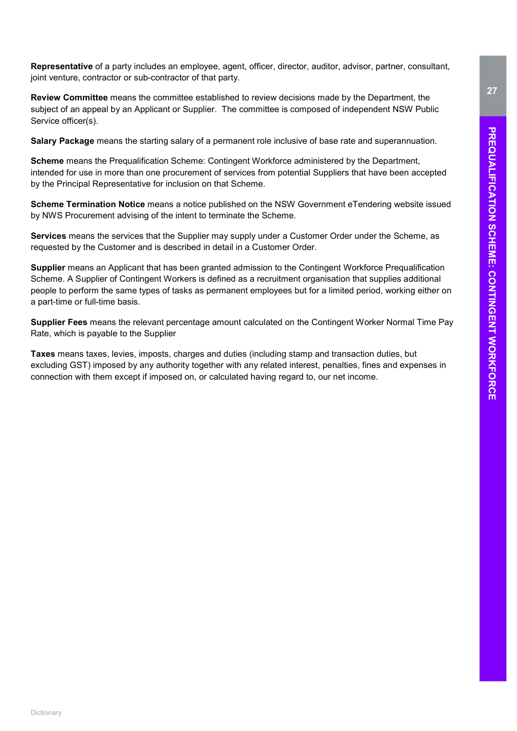Representative of a party includes an employee, agent, officer, director, auditor, advisor, partner, consultant, joint venture, contractor or sub-contractor of that party.

Review Committee means the committee established to review decisions made by the Department, the subject of an appeal by an Applicant or Supplier. The committee is composed of independent NSW Public Service officer(s).

Salary Package means the starting salary of a permanent role inclusive of base rate and superannuation.

Scheme means the Prequalification Scheme: Contingent Workforce administered by the Department, intended for use in more than one procurement of services from potential Suppliers that have been accepted by the Principal Representative for inclusion on that Scheme.

Scheme Termination Notice means a notice published on the NSW Government eTendering website issued by NWS Procurement advising of the intent to terminate the Scheme.

Services means the services that the Supplier may supply under a Customer Order under the Scheme, as requested by the Customer and is described in detail in a Customer Order.

Supplier means an Applicant that has been granted admission to the Contingent Workforce Prequalification Scheme. A Supplier of Contingent Workers is defined as a recruitment organisation that supplies additional people to perform the same types of tasks as permanent employees but for a limited period, working either on a part-time or full-time basis.

Supplier Fees means the relevant percentage amount calculated on the Contingent Worker Normal Time Pay Rate, which is payable to the Supplier

Taxes means taxes, levies, imposts, charges and duties (including stamp and transaction duties, but excluding GST) imposed by any authority together with any related interest, penalties, fines and expenses in connection with them except if imposed on, or calculated having regard to, our net income.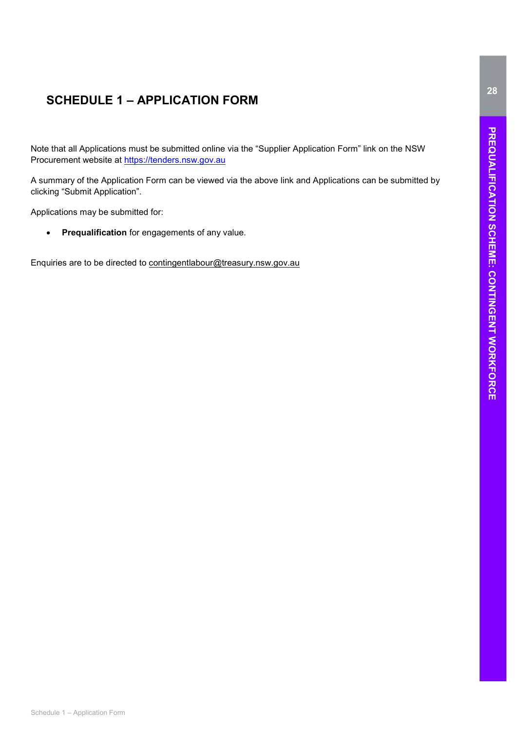# SCHEDULE 1 – APPLICATION FORM

Note that all Applications must be submitted online via the "Supplier Application Form" link on the NSW Procurement website at https://tenders.nsw.gov.au

A summary of the Application Form can be viewed via the above link and Applications can be submitted by clicking "Submit Application".

Applications may be submitted for:

• Prequalification for engagements of any value.

Enquiries are to be directed to contingentlabour@treasury.nsw.gov.au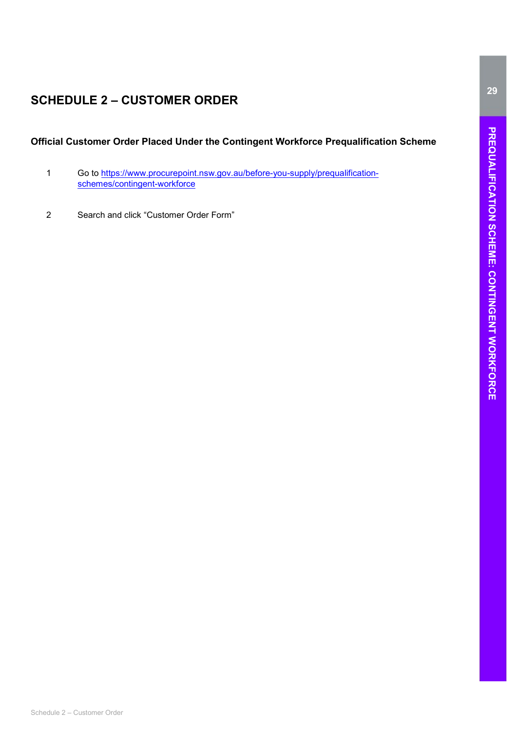# SCHEDULE 2 – CUSTOMER ORDER

Official Customer Order Placed Under the Contingent Workforce Prequalification Scheme

- 1 Go to https://www.procurepoint.nsw.gov.au/before-you-supply/prequalificationschemes/contingent-workforce
- 2 Search and click "Customer Order Form"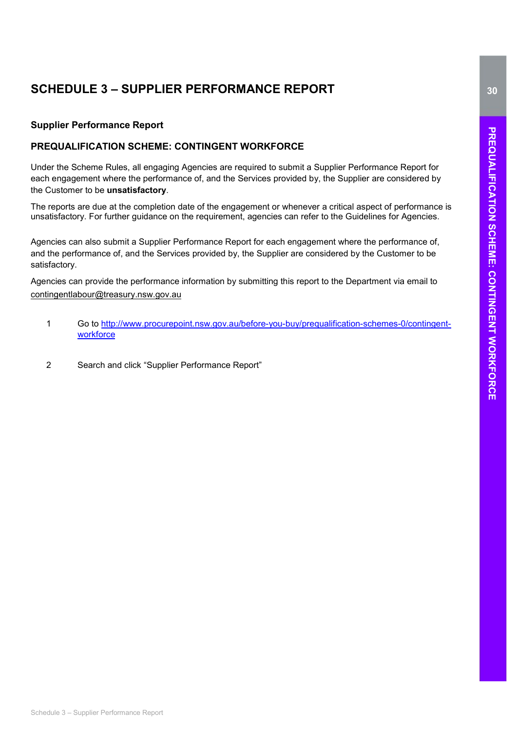# SCHEDULE 3 – SUPPLIER PERFORMANCE REPORT

### Supplier Performance Report

### PREQUALIFICATION SCHEME: CONTINGENT WORKFORCE

Under the Scheme Rules, all engaging Agencies are required to submit a Supplier Performance Report for each engagement where the performance of, and the Services provided by, the Supplier are considered by the Customer to be unsatisfactory.

The reports are due at the completion date of the engagement or whenever a critical aspect of performance is unsatisfactory. For further guidance on the requirement, agencies can refer to the Guidelines for Agencies.

Agencies can also submit a Supplier Performance Report for each engagement where the performance of, and the performance of, and the Services provided by, the Supplier are considered by the Customer to be satisfactory.

Agencies can provide the performance information by submitting this report to the Department via email to contingentlabour@treasury.nsw.gov.au

- 1 Go to http://www.procurepoint.nsw.gov.au/before-you-buy/prequalification-schemes-0/contingent**workforce**
- 2 Search and click "Supplier Performance Report"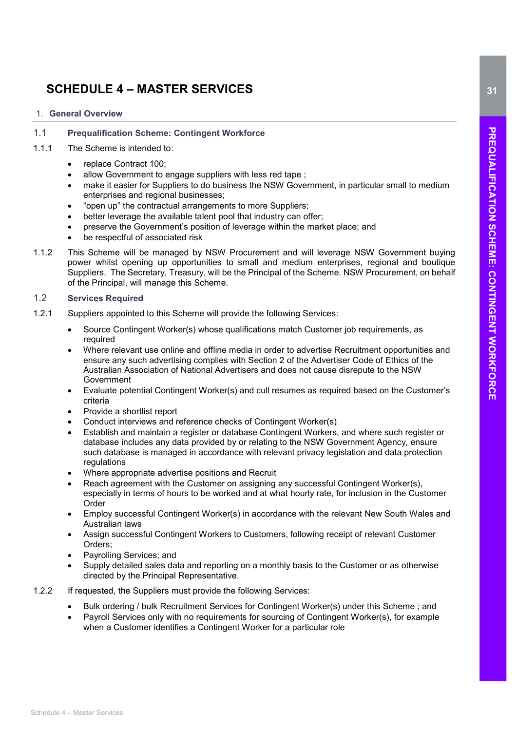# SCHEDULE 4 – MASTER SERVICES

#### 1. General Overview

#### 1.1 Prequalification Scheme: Contingent Workforce

- 1.1.1 The Scheme is intended to:
	- replace Contract 100;
	- allow Government to engage suppliers with less red tape ;
	- make it easier for Suppliers to do business the NSW Government, in particular small to medium enterprises and regional businesses;
	- "open up" the contractual arrangements to more Suppliers;
	- better leverage the available talent pool that industry can offer;
	- preserve the Government's position of leverage within the market place; and
	- be respectful of associated risk
- 1.1.2 This Scheme will be managed by NSW Procurement and will leverage NSW Government buying power whilst opening up opportunities to small and medium enterprises, regional and boutique Suppliers. The Secretary, Treasury, will be the Principal of the Scheme. NSW Procurement, on behalf of the Principal, will manage this Scheme.

### 1.2 Services Required

- 1.2.1 Suppliers appointed to this Scheme will provide the following Services:
	- Source Contingent Worker(s) whose qualifications match Customer job requirements, as required
	- Where relevant use online and offline media in order to advertise Recruitment opportunities and ensure any such advertising complies with Section 2 of the Advertiser Code of Ethics of the Australian Association of National Advertisers and does not cause disrepute to the NSW Government
	- Evaluate potential Contingent Worker(s) and cull resumes as required based on the Customer's criteria
	- Provide a shortlist report
	- Conduct interviews and reference checks of Contingent Worker(s)
	- Establish and maintain a register or database Contingent Workers, and where such register or database includes any data provided by or relating to the NSW Government Agency, ensure such database is managed in accordance with relevant privacy legislation and data protection regulations
	- Where appropriate advertise positions and Recruit
	- Reach agreement with the Customer on assigning any successful Contingent Worker(s), especially in terms of hours to be worked and at what hourly rate, for inclusion in the Customer Order
	- Employ successful Contingent Worker(s) in accordance with the relevant New South Wales and Australian laws
	- Assign successful Contingent Workers to Customers, following receipt of relevant Customer Orders;
	- Payrolling Services; and
	- Supply detailed sales data and reporting on a monthly basis to the Customer or as otherwise directed by the Principal Representative.
- 1.2.2 If requested, the Suppliers must provide the following Services:
	- Bulk ordering / bulk Recruitment Services for Contingent Worker(s) under this Scheme ; and
	- Payroll Services only with no requirements for sourcing of Contingent Worker(s), for example when a Customer identifies a Contingent Worker for a particular role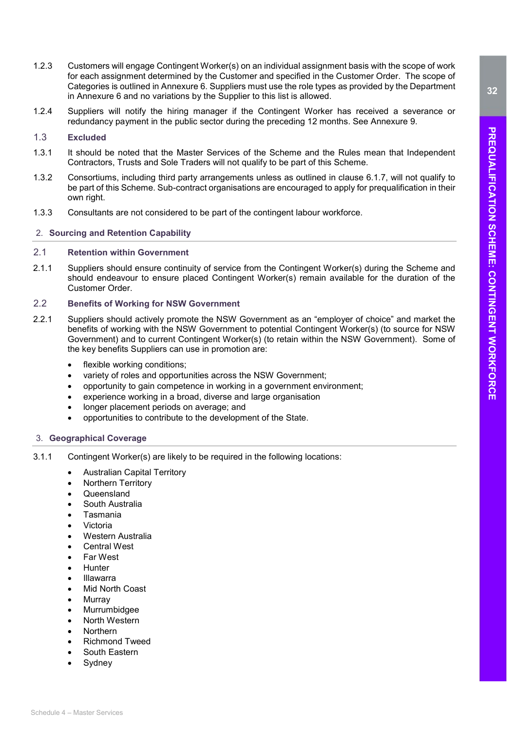- 1.2.3 Customers will engage Contingent Worker(s) on an individual assignment basis with the scope of work for each assignment determined by the Customer and specified in the Customer Order. The scope of Categories is outlined in Annexure 6. Suppliers must use the role types as provided by the Department in Annexure 6 and no variations by the Supplier to this list is allowed.
- 1.2.4 Suppliers will notify the hiring manager if the Contingent Worker has received a severance or redundancy payment in the public sector during the preceding 12 months. See Annexure 9.

### 1.3 Excluded

- 1.3.1 It should be noted that the Master Services of the Scheme and the Rules mean that Independent Contractors, Trusts and Sole Traders will not qualify to be part of this Scheme.
- 1.3.2 Consortiums, including third party arrangements unless as outlined in clause 6.1.7, will not qualify to be part of this Scheme. Sub-contract organisations are encouraged to apply for prequalification in their own right.
- 1.3.3 Consultants are not considered to be part of the contingent labour workforce.

#### 2. Sourcing and Retention Capability

#### 2.1 Retention within Government

 2.1.1 Suppliers should ensure continuity of service from the Contingent Worker(s) during the Scheme and should endeavour to ensure placed Contingent Worker(s) remain available for the duration of the Customer Order.

#### 2.2 Benefits of Working for NSW Government

- 2.2.1 Suppliers should actively promote the NSW Government as an "employer of choice" and market the benefits of working with the NSW Government to potential Contingent Worker(s) (to source for NSW Government) and to current Contingent Worker(s) (to retain within the NSW Government). Some of the key benefits Suppliers can use in promotion are:
	- flexible working conditions;
	- variety of roles and opportunities across the NSW Government;
	- opportunity to gain competence in working in a government environment;
	- experience working in a broad, diverse and large organisation
	- longer placement periods on average; and
	- opportunities to contribute to the development of the State.

#### 3. Geographical Coverage

- 3.1.1 Contingent Worker(s) are likely to be required in the following locations:
	- Australian Capital Territory
		- Northern Territory
		- Queensland
	- South Australia
	- Tasmania
	- Victoria
	- Western Australia
	- Central West
	- Far West
	- Hunter
	- Illawarra
	- Mid North Coast
	- **Murray**
	- Murrumbidgee
	- North Western
	- **Northern**
	- Richmond Tweed
	- South Eastern
	- Sydney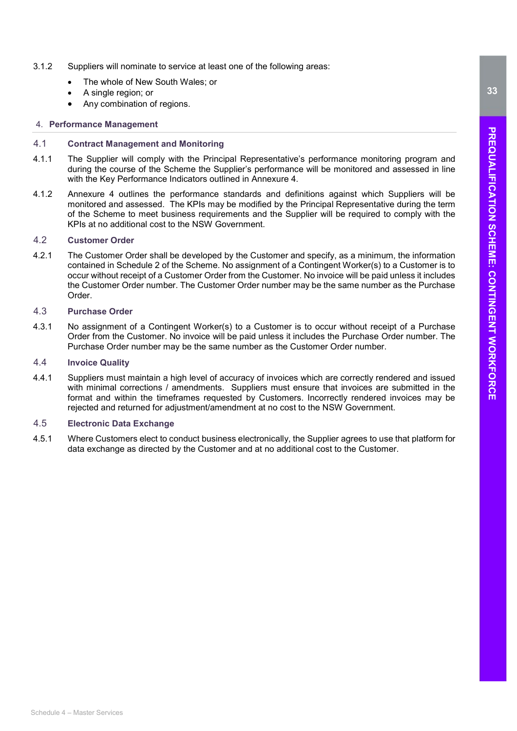- 3.1.2 Suppliers will nominate to service at least one of the following areas:
	- The whole of New South Wales; or
	- A single region; or
	- Any combination of regions.

#### 4. Performance Management

#### 4.1 Contract Management and Monitoring

- 4.1.1 The Supplier will comply with the Principal Representative's performance monitoring program and during the course of the Scheme the Supplier's performance will be monitored and assessed in line with the Key Performance Indicators outlined in Annexure 4.
- 4.1.2 Annexure 4 outlines the performance standards and definitions against which Suppliers will be monitored and assessed. The KPIs may be modified by the Principal Representative during the term of the Scheme to meet business requirements and the Supplier will be required to comply with the KPIs at no additional cost to the NSW Government.

#### 4.2 Customer Order

 4.2.1 The Customer Order shall be developed by the Customer and specify, as a minimum, the information contained in Schedule 2 of the Scheme. No assignment of a Contingent Worker(s) to a Customer is to occur without receipt of a Customer Order from the Customer. No invoice will be paid unless it includes the Customer Order number. The Customer Order number may be the same number as the Purchase Order.

### 4.3 Purchase Order

 4.3.1 No assignment of a Contingent Worker(s) to a Customer is to occur without receipt of a Purchase Order from the Customer. No invoice will be paid unless it includes the Purchase Order number. The Purchase Order number may be the same number as the Customer Order number.

#### 4.4 Invoice Quality

 4.4.1 Suppliers must maintain a high level of accuracy of invoices which are correctly rendered and issued with minimal corrections / amendments. Suppliers must ensure that invoices are submitted in the format and within the timeframes requested by Customers. Incorrectly rendered invoices may be rejected and returned for adjustment/amendment at no cost to the NSW Government.

#### 4.5 Electronic Data Exchange

 4.5.1 Where Customers elect to conduct business electronically, the Supplier agrees to use that platform for data exchange as directed by the Customer and at no additional cost to the Customer.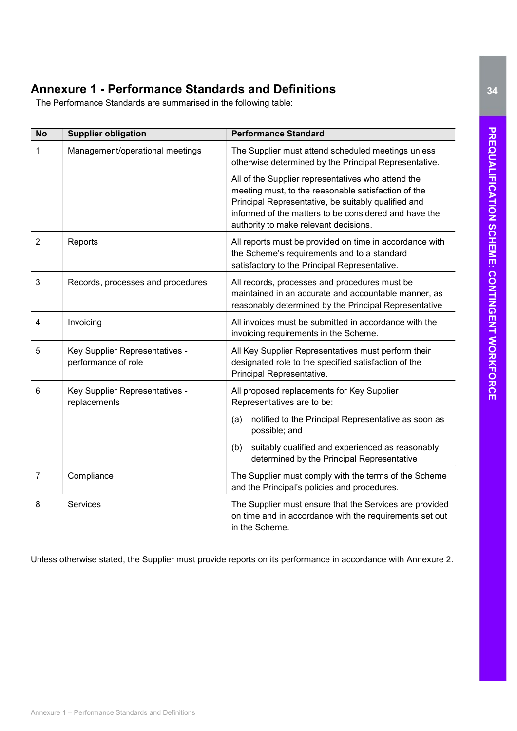# Annexure 1 - Performance Standards and Definitions

The Performance Standards are summarised in the following table:

| <b>No</b>      | <b>Supplier obligation</b>                            | <b>Performance Standard</b>                                                                                                                                                                                                                                        |
|----------------|-------------------------------------------------------|--------------------------------------------------------------------------------------------------------------------------------------------------------------------------------------------------------------------------------------------------------------------|
| 1              | Management/operational meetings                       | The Supplier must attend scheduled meetings unless<br>otherwise determined by the Principal Representative.                                                                                                                                                        |
|                |                                                       | All of the Supplier representatives who attend the<br>meeting must, to the reasonable satisfaction of the<br>Principal Representative, be suitably qualified and<br>informed of the matters to be considered and have the<br>authority to make relevant decisions. |
| $\overline{2}$ | Reports                                               | All reports must be provided on time in accordance with<br>the Scheme's requirements and to a standard<br>satisfactory to the Principal Representative.                                                                                                            |
| 3              | Records, processes and procedures                     | All records, processes and procedures must be<br>maintained in an accurate and accountable manner, as<br>reasonably determined by the Principal Representative                                                                                                     |
| 4              | Invoicing                                             | All invoices must be submitted in accordance with the<br>invoicing requirements in the Scheme.                                                                                                                                                                     |
| 5              | Key Supplier Representatives -<br>performance of role | All Key Supplier Representatives must perform their<br>designated role to the specified satisfaction of the<br>Principal Representative.                                                                                                                           |
| $6\phantom{1}$ | Key Supplier Representatives -<br>replacements        | All proposed replacements for Key Supplier<br>Representatives are to be:                                                                                                                                                                                           |
|                |                                                       | notified to the Principal Representative as soon as<br>(a)<br>possible; and                                                                                                                                                                                        |
|                |                                                       | suitably qualified and experienced as reasonably<br>(b)<br>determined by the Principal Representative                                                                                                                                                              |
| $\overline{7}$ | Compliance                                            | The Supplier must comply with the terms of the Scheme<br>and the Principal's policies and procedures.                                                                                                                                                              |
| 8              | <b>Services</b>                                       | The Supplier must ensure that the Services are provided<br>on time and in accordance with the requirements set out<br>in the Scheme.                                                                                                                               |

Unless otherwise stated, the Supplier must provide reports on its performance in accordance with Annexure 2.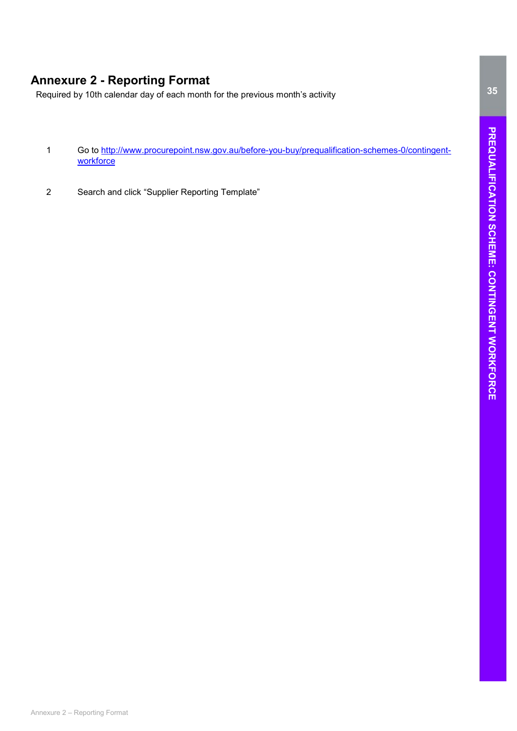# Annexure 2 - Reporting Format

Required by 10th calendar day of each month for the previous month's activity

- 1 Go to http://www.procurepoint.nsw.gov.au/before-you-buy/prequalification-schemes-0/contingentworkforce
- 2 Search and click "Supplier Reporting Template"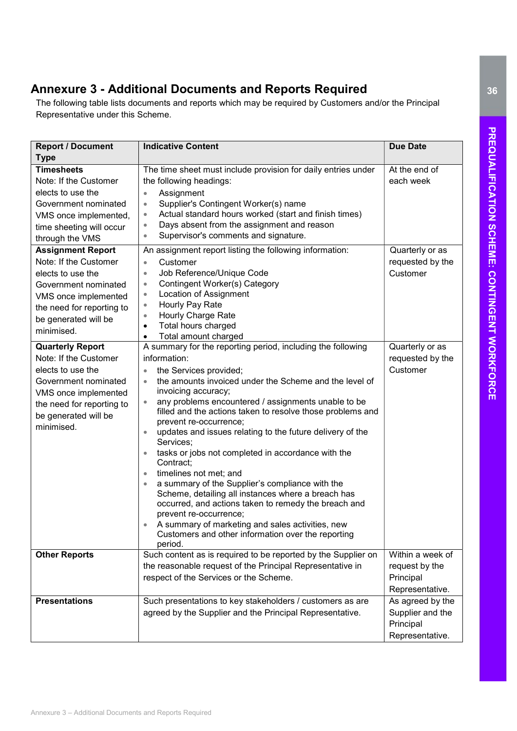# Annexure 3 - Additional Documents and Reports Required

The following table lists documents and reports which may be required by Customers and/or the Principal Representative under this Scheme.

| <b>Report / Document</b>  | <b>Indicative Content</b>                                                      | <b>Due Date</b>  |
|---------------------------|--------------------------------------------------------------------------------|------------------|
| <b>Type</b>               |                                                                                |                  |
| <b>Timesheets</b>         | The time sheet must include provision for daily entries under                  | At the end of    |
| Note: If the Customer     | the following headings:                                                        | each week        |
| elects to use the         | Assignment<br>$\bullet$                                                        |                  |
| Government nominated      | Supplier's Contingent Worker(s) name<br>$\bullet$                              |                  |
| VMS once implemented,     | Actual standard hours worked (start and finish times)                          |                  |
| time sheeting will occur  | Days absent from the assignment and reason<br>$\bullet$                        |                  |
| through the VMS           | Supervisor's comments and signature.<br>$\bullet$                              |                  |
| <b>Assignment Report</b>  | An assignment report listing the following information:                        | Quarterly or as  |
| Note: If the Customer     | Customer<br>$\bullet$                                                          | requested by the |
| elects to use the         | Job Reference/Unique Code<br>$\bullet$                                         | Customer         |
| Government nominated      | Contingent Worker(s) Category<br>$\bullet$                                     |                  |
| VMS once implemented      | Location of Assignment<br>$\bullet$                                            |                  |
| the need for reporting to | Hourly Pay Rate<br>$\bullet$                                                   |                  |
| be generated will be      | Hourly Charge Rate<br>$\bullet$                                                |                  |
| minimised.                | Total hours charged<br>$\bullet$                                               |                  |
|                           | Total amount charged<br>$\bullet$                                              |                  |
| <b>Quarterly Report</b>   | A summary for the reporting period, including the following<br>information:    | Quarterly or as  |
| Note: If the Customer     |                                                                                | requested by the |
| elects to use the         | the Services provided;                                                         | Customer         |
| Government nominated      | the amounts invoiced under the Scheme and the level of                         |                  |
| VMS once implemented      | invoicing accuracy;<br>any problems encountered / assignments unable to be     |                  |
| the need for reporting to | filled and the actions taken to resolve those problems and                     |                  |
| be generated will be      | prevent re-occurrence;                                                         |                  |
| minimised.                | updates and issues relating to the future delivery of the<br>Services;         |                  |
|                           | tasks or jobs not completed in accordance with the                             |                  |
|                           | Contract;                                                                      |                  |
|                           | timelines not met; and                                                         |                  |
|                           | a summary of the Supplier's compliance with the                                |                  |
|                           | Scheme, detailing all instances where a breach has                             |                  |
|                           | occurred, and actions taken to remedy the breach and<br>prevent re-occurrence; |                  |
|                           | A summary of marketing and sales activities, new                               |                  |
|                           | Customers and other information over the reporting                             |                  |
|                           | period.                                                                        |                  |
| <b>Other Reports</b>      | Such content as is required to be reported by the Supplier on                  | Within a week of |
|                           | the reasonable request of the Principal Representative in                      | request by the   |
|                           | respect of the Services or the Scheme.                                         | Principal        |
|                           |                                                                                | Representative.  |
| <b>Presentations</b>      | Such presentations to key stakeholders / customers as are                      | As agreed by the |
|                           | agreed by the Supplier and the Principal Representative.                       | Supplier and the |
|                           |                                                                                | Principal        |
|                           |                                                                                | Representative.  |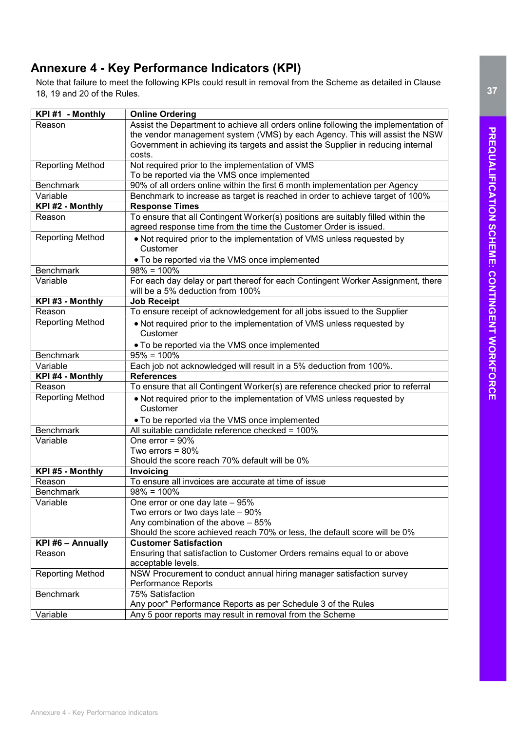# Annexure 4 - Key Performance Indicators (KPI)

Note that failure to meet the following KPIs could result in removal from the Scheme as detailed in Clause 18, 19 and 20 of the Rules.

| KPI#1 - Monthly         | <b>Online Ordering</b>                                                                                              |
|-------------------------|---------------------------------------------------------------------------------------------------------------------|
| Reason                  | Assist the Department to achieve all orders online following the implementation of                                  |
|                         | the vendor management system (VMS) by each Agency. This will assist the NSW                                         |
|                         | Government in achieving its targets and assist the Supplier in reducing internal                                    |
|                         | costs.                                                                                                              |
| <b>Reporting Method</b> | Not required prior to the implementation of VMS                                                                     |
|                         | To be reported via the VMS once implemented                                                                         |
| <b>Benchmark</b>        | 90% of all orders online within the first 6 month implementation per Agency                                         |
| Variable                | Benchmark to increase as target is reached in order to achieve target of 100%                                       |
| KPI #2 - Monthly        | <b>Response Times</b>                                                                                               |
| Reason                  | To ensure that all Contingent Worker(s) positions are suitably filled within the                                    |
|                         | agreed response time from the time the Customer Order is issued.                                                    |
| <b>Reporting Method</b> | . Not required prior to the implementation of VMS unless requested by                                               |
|                         | Customer                                                                                                            |
|                         | . To be reported via the VMS once implemented                                                                       |
| <b>Benchmark</b>        | $98\% = 100\%$                                                                                                      |
| Variable                | For each day delay or part thereof for each Contingent Worker Assignment, there<br>will be a 5% deduction from 100% |
| KPI #3 - Monthly        | <b>Job Receipt</b>                                                                                                  |
| Reason                  | To ensure receipt of acknowledgement for all jobs issued to the Supplier                                            |
| <b>Reporting Method</b> | . Not required prior to the implementation of VMS unless requested by                                               |
|                         | Customer                                                                                                            |
|                         | . To be reported via the VMS once implemented                                                                       |
| <b>Benchmark</b>        | $95\% = 100\%$                                                                                                      |
| Variable                | Each job not acknowledged will result in a 5% deduction from 100%.                                                  |
| KPI #4 - Monthly        | <b>References</b>                                                                                                   |
| Reason                  | To ensure that all Contingent Worker(s) are reference checked prior to referral                                     |
| <b>Reporting Method</b> | . Not required prior to the implementation of VMS unless requested by<br>Customer                                   |
|                         | . To be reported via the VMS once implemented                                                                       |
| <b>Benchmark</b>        | All suitable candidate reference checked = 100%                                                                     |
| Variable                | One error $= 90\%$                                                                                                  |
|                         | Two errors = $80\%$                                                                                                 |
|                         | Should the score reach 70% default will be 0%                                                                       |
| KPI #5 - Monthly        | Invoicing                                                                                                           |
| Reason                  | To ensure all invoices are accurate at time of issue                                                                |
| <b>Benchmark</b>        | $98\% = 100\%$                                                                                                      |
| Variable                | One error or one day late - 95%                                                                                     |
|                         | Two errors or two days late - 90%                                                                                   |
|                         | Any combination of the above - 85%                                                                                  |
|                         | Should the score achieved reach 70% or less, the default score will be 0%                                           |
| KPI #6 - Annually       | <b>Customer Satisfaction</b>                                                                                        |
| Reason                  | Ensuring that satisfaction to Customer Orders remains equal to or above                                             |
|                         | acceptable levels.                                                                                                  |
| <b>Reporting Method</b> | NSW Procurement to conduct annual hiring manager satisfaction survey                                                |
|                         | Performance Reports                                                                                                 |
| <b>Benchmark</b>        | 75% Satisfaction                                                                                                    |
|                         | Any poor* Performance Reports as per Schedule 3 of the Rules                                                        |
| Variable                | Any 5 poor reports may result in removal from the Scheme                                                            |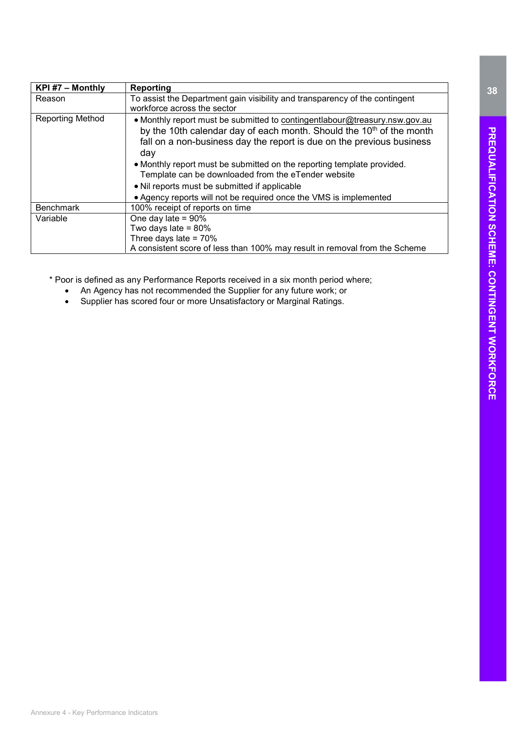| KPI#7 – Monthly         | Reporting                                                                                                                                                                                                                                                                                                                                                                                                              |
|-------------------------|------------------------------------------------------------------------------------------------------------------------------------------------------------------------------------------------------------------------------------------------------------------------------------------------------------------------------------------------------------------------------------------------------------------------|
| Reason                  | To assist the Department gain visibility and transparency of the contingent                                                                                                                                                                                                                                                                                                                                            |
|                         | workforce across the sector                                                                                                                                                                                                                                                                                                                                                                                            |
| <b>Reporting Method</b> | • Monthly report must be submitted to contingentlabour@treasury.nsw.gov.au<br>by the 10th calendar day of each month. Should the $10th$ of the month<br>fall on a non-business day the report is due on the previous business<br>day<br>• Monthly report must be submitted on the reporting template provided.<br>Template can be downloaded from the eTender website<br>• Nil reports must be submitted if applicable |
|                         | • Agency reports will not be required once the VMS is implemented                                                                                                                                                                                                                                                                                                                                                      |
| <b>Benchmark</b>        | 100% receipt of reports on time                                                                                                                                                                                                                                                                                                                                                                                        |
| Variable                | One day late = $90\%$                                                                                                                                                                                                                                                                                                                                                                                                  |
|                         | Two days late = $80\%$                                                                                                                                                                                                                                                                                                                                                                                                 |
|                         | Three days late = $70\%$                                                                                                                                                                                                                                                                                                                                                                                               |
|                         | A consistent score of less than 100% may result in removal from the Scheme                                                                                                                                                                                                                                                                                                                                             |

\* Poor is defined as any Performance Reports received in a six month period where;

- An Agency has not recommended the Supplier for any future work; or
- Supplier has scored four or more Unsatisfactory or Marginal Ratings.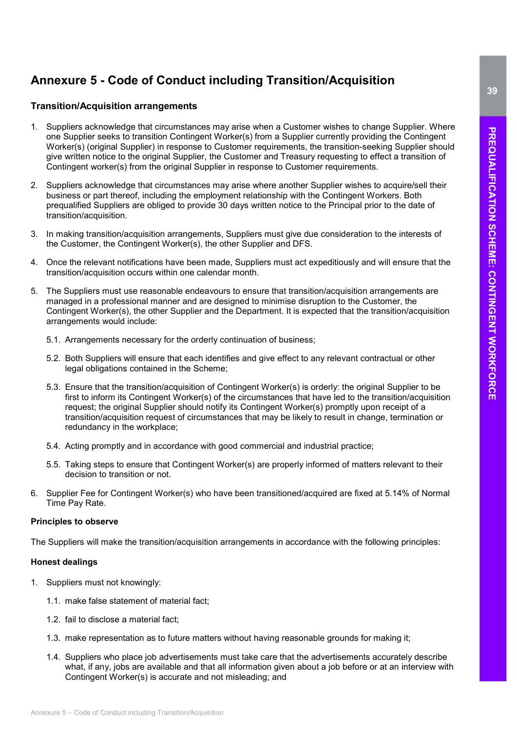# Annexure 5 - Code of Conduct including Transition/Acquisition

### Transition/Acquisition arrangements

- 1. Suppliers acknowledge that circumstances may arise when a Customer wishes to change Supplier. Where one Supplier seeks to transition Contingent Worker(s) from a Supplier currently providing the Contingent Worker(s) (original Supplier) in response to Customer requirements, the transition-seeking Supplier should give written notice to the original Supplier, the Customer and Treasury requesting to effect a transition of Contingent worker(s) from the original Supplier in response to Customer requirements.
- 2. Suppliers acknowledge that circumstances may arise where another Supplier wishes to acquire/sell their business or part thereof, including the employment relationship with the Contingent Workers. Both prequalified Suppliers are obliged to provide 30 days written notice to the Principal prior to the date of transition/acquisition.
- 3. In making transition/acquisition arrangements, Suppliers must give due consideration to the interests of the Customer, the Contingent Worker(s), the other Supplier and DFS.
- 4. Once the relevant notifications have been made, Suppliers must act expeditiously and will ensure that the transition/acquisition occurs within one calendar month.
- 5. The Suppliers must use reasonable endeavours to ensure that transition/acquisition arrangements are managed in a professional manner and are designed to minimise disruption to the Customer, the Contingent Worker(s), the other Supplier and the Department. It is expected that the transition/acquisition arrangements would include:
	- 5.1. Arrangements necessary for the orderly continuation of business;
	- 5.2. Both Suppliers will ensure that each identifies and give effect to any relevant contractual or other legal obligations contained in the Scheme;
	- 5.3. Ensure that the transition/acquisition of Contingent Worker(s) is orderly: the original Supplier to be first to inform its Contingent Worker(s) of the circumstances that have led to the transition/acquisition request; the original Supplier should notify its Contingent Worker(s) promptly upon receipt of a transition/acquisition request of circumstances that may be likely to result in change, termination or redundancy in the workplace;
	- 5.4. Acting promptly and in accordance with good commercial and industrial practice;
	- 5.5. Taking steps to ensure that Contingent Worker(s) are properly informed of matters relevant to their decision to transition or not.
- 6. Supplier Fee for Contingent Worker(s) who have been transitioned/acquired are fixed at 5.14% of Normal Time Pay Rate.

### Principles to observe

The Suppliers will make the transition/acquisition arrangements in accordance with the following principles:

### Honest dealings

- 1. Suppliers must not knowingly:
	- 1.1. make false statement of material fact;
	- 1.2. fail to disclose a material fact;
	- 1.3. make representation as to future matters without having reasonable grounds for making it;
	- 1.4. Suppliers who place job advertisements must take care that the advertisements accurately describe what, if any, jobs are available and that all information given about a job before or at an interview with Contingent Worker(s) is accurate and not misleading; and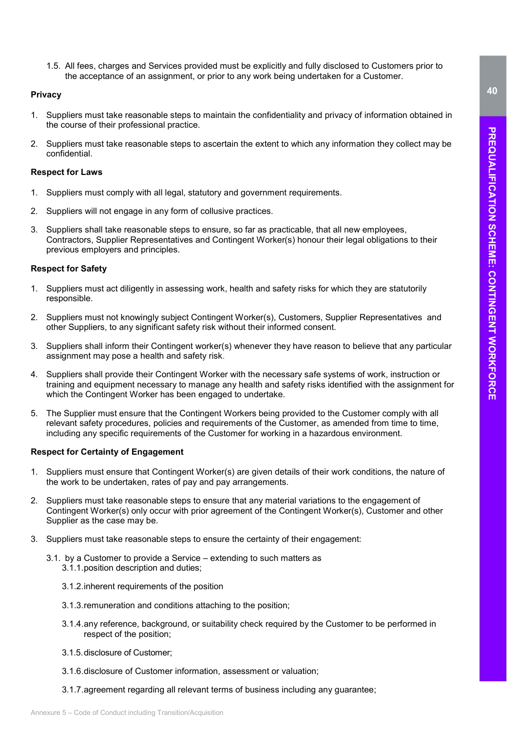1.5. All fees, charges and Services provided must be explicitly and fully disclosed to Customers prior to the acceptance of an assignment, or prior to any work being undertaken for a Customer.

#### **Privacy**

- 1. Suppliers must take reasonable steps to maintain the confidentiality and privacy of information obtained in the course of their professional practice.
- 2. Suppliers must take reasonable steps to ascertain the extent to which any information they collect may be confidential.

#### Respect for Laws

- 1. Suppliers must comply with all legal, statutory and government requirements.
- 2. Suppliers will not engage in any form of collusive practices.
- 3. Suppliers shall take reasonable steps to ensure, so far as practicable, that all new employees, Contractors, Supplier Representatives and Contingent Worker(s) honour their legal obligations to their previous employers and principles.

#### Respect for Safety

- 1. Suppliers must act diligently in assessing work, health and safety risks for which they are statutorily responsible.
- 2. Suppliers must not knowingly subject Contingent Worker(s), Customers, Supplier Representatives and other Suppliers, to any significant safety risk without their informed consent.
- 3. Suppliers shall inform their Contingent worker(s) whenever they have reason to believe that any particular assignment may pose a health and safety risk.
- 4. Suppliers shall provide their Contingent Worker with the necessary safe systems of work, instruction or training and equipment necessary to manage any health and safety risks identified with the assignment for which the Contingent Worker has been engaged to undertake.
- 5. The Supplier must ensure that the Contingent Workers being provided to the Customer comply with all relevant safety procedures, policies and requirements of the Customer, as amended from time to time, including any specific requirements of the Customer for working in a hazardous environment.

#### Respect for Certainty of Engagement

- 1. Suppliers must ensure that Contingent Worker(s) are given details of their work conditions, the nature of the work to be undertaken, rates of pay and pay arrangements.
- 2. Suppliers must take reasonable steps to ensure that any material variations to the engagement of Contingent Worker(s) only occur with prior agreement of the Contingent Worker(s), Customer and other Supplier as the case may be.
- 3. Suppliers must take reasonable steps to ensure the certainty of their engagement:
	- 3.1. by a Customer to provide a Service extending to such matters as 3.1.1. position description and duties;
		- 3.1.2. inherent requirements of the position
		- 3.1.3. remuneration and conditions attaching to the position;
		- 3.1.4. any reference, background, or suitability check required by the Customer to be performed in respect of the position;
		- 3.1.5. disclosure of Customer;
		- 3.1.6. disclosure of Customer information, assessment or valuation;
		- 3.1.7. agreement regarding all relevant terms of business including any guarantee;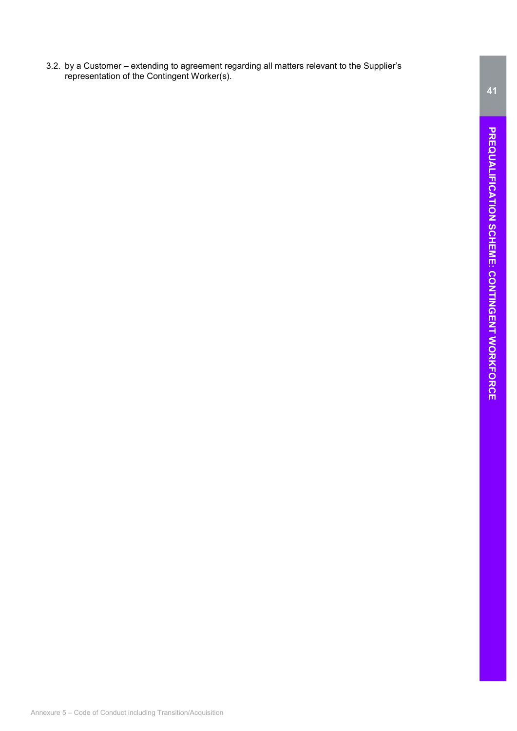3.2. by a Customer – extending to agreement regarding all matters relevant to the Supplier's representation of the Contingent Worker(s).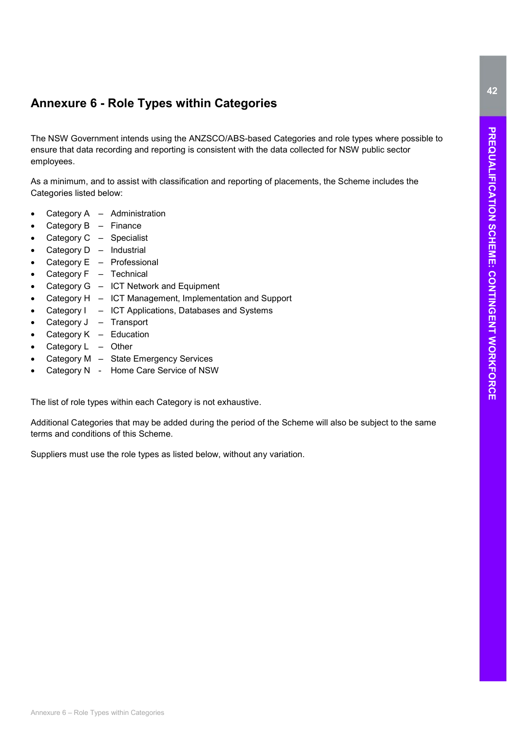# Annexure 6 - Role Types within Categories

The NSW Government intends using the ANZSCO/ABS-based Categories and role types where possible to ensure that data recording and reporting is consistent with the data collected for NSW public sector employees.

As a minimum, and to assist with classification and reporting of placements, the Scheme includes the Categories listed below:

- Category A Administration
- Category B Finance
- Category C Specialist
- Category D Industrial
- Category E Professional
- Category F Technical
- Category G ICT Network and Equipment
- Category H ICT Management, Implementation and Support
- Category I ICT Applications, Databases and Systems
- Category J Transport
- Category K Education
- Category L Other
- Category M State Emergency Services
- Category N Home Care Service of NSW

The list of role types within each Category is not exhaustive.

Additional Categories that may be added during the period of the Scheme will also be subject to the same terms and conditions of this Scheme.

Suppliers must use the role types as listed below, without any variation.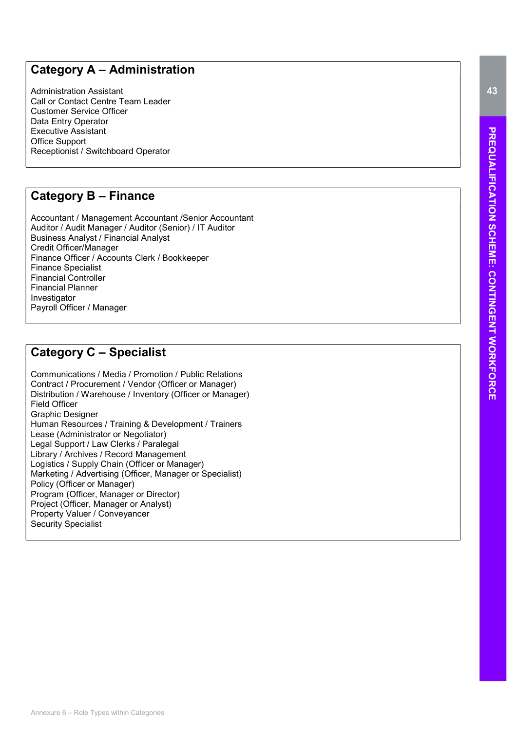## Category A – Administration

Administration Assistant Call or Contact Centre Team Leader Customer Service Officer Data Entry Operator Executive Assistant Office Support Receptionist / Switchboard Operator

## Category B – Finance

Accountant / Management Accountant /Senior Accountant Auditor / Audit Manager / Auditor (Senior) / IT Auditor Business Analyst / Financial Analyst Credit Officer/Manager Finance Officer / Accounts Clerk / Bookkeeper Finance Specialist Financial Controller Financial Planner Investigator Payroll Officer / Manager

# Category C – Specialist

Communications / Media / Promotion / Public Relations Contract / Procurement / Vendor (Officer or Manager) Distribution / Warehouse / Inventory (Officer or Manager) Field Officer Graphic Designer Human Resources / Training & Development / Trainers Lease (Administrator or Negotiator) Legal Support / Law Clerks / Paralegal Library / Archives / Record Management Logistics / Supply Chain (Officer or Manager) Marketing / Advertising (Officer, Manager or Specialist) Policy (Officer or Manager) Program (Officer, Manager or Director) Project (Officer, Manager or Analyst) Property Valuer / Conveyancer Security Specialist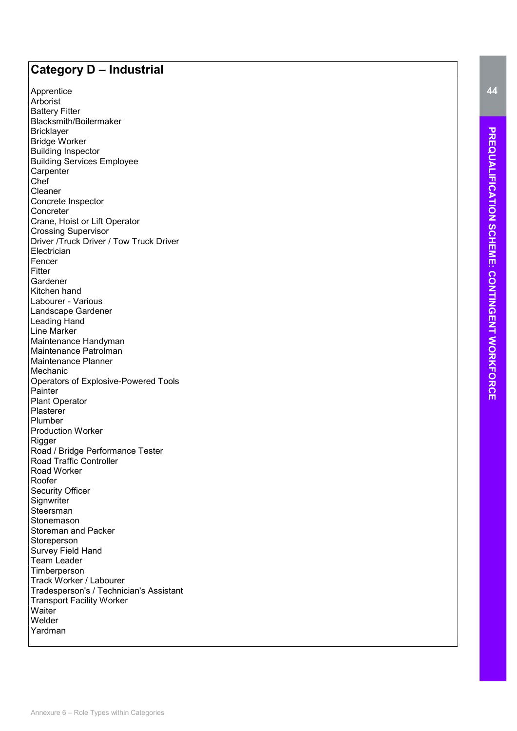# Category D – Industrial

Apprentice Arborist Battery Fitter Blacksmith/Boilermaker **Bricklaver** Bridge Worker Building Inspector Building Services Employee **Carpenter** Chef Cleaner Concrete Inspector **Concreter** Crane, Hoist or Lift Operator Crossing Supervisor Driver /Truck Driver / Tow Truck Driver **Electrician** Fencer Fitter Gardener Kitchen hand Labourer - Various Landscape Gardener Leading Hand Line Marker Maintenance Handyman Maintenance Patrolman Maintenance Planner Mechanic Operators of Explosive-Powered Tools Painter Plant Operator **Plasterer** Plumber Production Worker **Rigger** Road / Bridge Performance Tester Road Traffic Controller Road Worker Roofer Security Officer **Signwriter Steersman Stonemason** Storeman and Packer Storeperson Survey Field Hand Team Leader **Timberperson** Track Worker / Labourer Tradesperson's / Technician's Assistant Transport Facility Worker **Waiter** Welder Yardman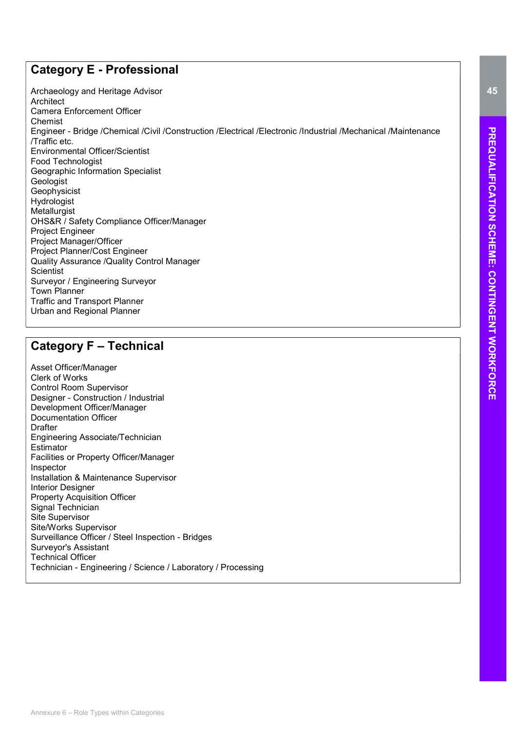## Category E - Professional

Archaeology and Heritage Advisor **Architect** Camera Enforcement Officer Chemist Engineer - Bridge /Chemical /Civil /Construction /Electrical /Electronic /Industrial /Mechanical /Maintenance /Traffic etc. Environmental Officer/Scientist Food Technologist Geographic Information Specialist Geologist Geophysicist Hydrologist Metallurgist OHS&R / Safety Compliance Officer/Manager Project Engineer Project Manager/Officer Project Planner/Cost Engineer Quality Assurance /Quality Control Manager **Scientist** Surveyor / Engineering Surveyor Town Planner Traffic and Transport Planner Urban and Regional Planner

## Category F – Technical

Asset Officer/Manager Clerk of Works Control Room Supervisor Designer - Construction / Industrial Development Officer/Manager Documentation Officer **Drafter** Engineering Associate/Technician **Estimator** Facilities or Property Officer/Manager Inspector Installation & Maintenance Supervisor Interior Designer Property Acquisition Officer Signal Technician Site Supervisor Site/Works Supervisor Surveillance Officer / Steel Inspection - Bridges Surveyor's Assistant Technical Officer Technician - Engineering / Science / Laboratory / Processing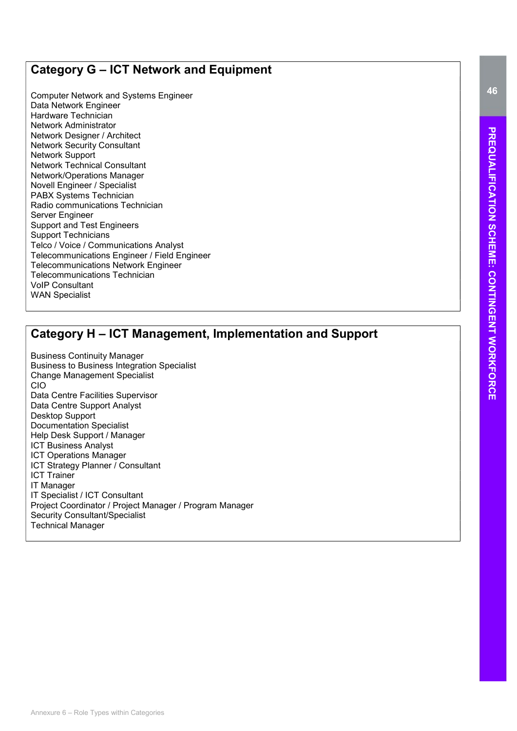## Category G – ICT Network and Equipment

Computer Network and Systems Engineer Data Network Engineer Hardware Technician Network Administrator Network Designer / Architect Network Security Consultant Network Support Network Technical Consultant Network/Operations Manager Novell Engineer / Specialist PABX Systems Technician Radio communications Technician Server Engineer Support and Test Engineers Support Technicians Telco / Voice / Communications Analyst Telecommunications Engineer / Field Engineer Telecommunications Network Engineer Telecommunications Technician VoIP Consultant WAN Specialist

## Category H – ICT Management, Implementation and Support

Business Continuity Manager Business to Business Integration Specialist Change Management Specialist CIO Data Centre Facilities Supervisor Data Centre Support Analyst Desktop Support Documentation Specialist Help Desk Support / Manager ICT Business Analyst ICT Operations Manager ICT Strategy Planner / Consultant ICT Trainer IT Manager IT Specialist / ICT Consultant Project Coordinator / Project Manager / Program Manager Security Consultant/Specialist Technical Manager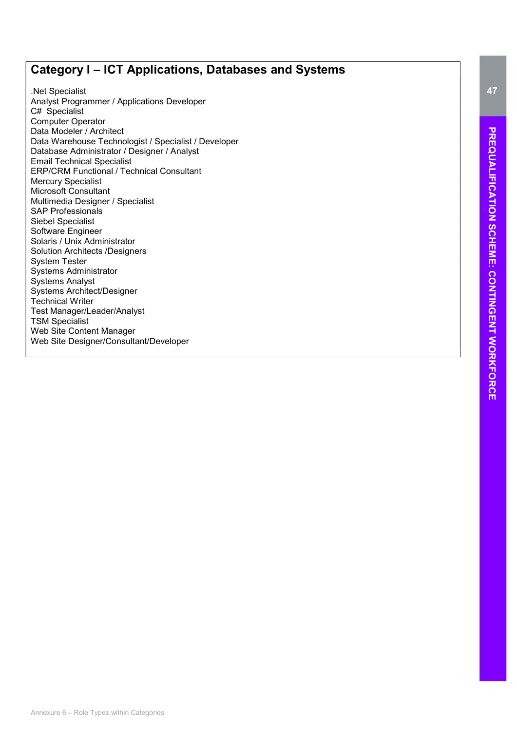## Category I – ICT Applications, Databases and Systems

.Net Specialist Analyst Programmer / Applications Developer C# Specialist Computer Operator Data Modeler / Architect Data Warehouse Technologist / Specialist / Developer Database Administrator / Designer / Analyst Email Technical Specialist ERP/CRM Functional / Technical Consultant Mercury Specialist Microsoft Consultant Multimedia Designer / Specialist SAP Professionals Siebel Specialist Software Engineer Solaris / Unix Administrator Solution Architects /Designers System Tester Systems Administrator Systems Analyst Systems Architect/Designer Technical Writer Test Manager/Leader/Analyst TSM Specialist Web Site Content Manager Web Site Designer/Consultant/Developer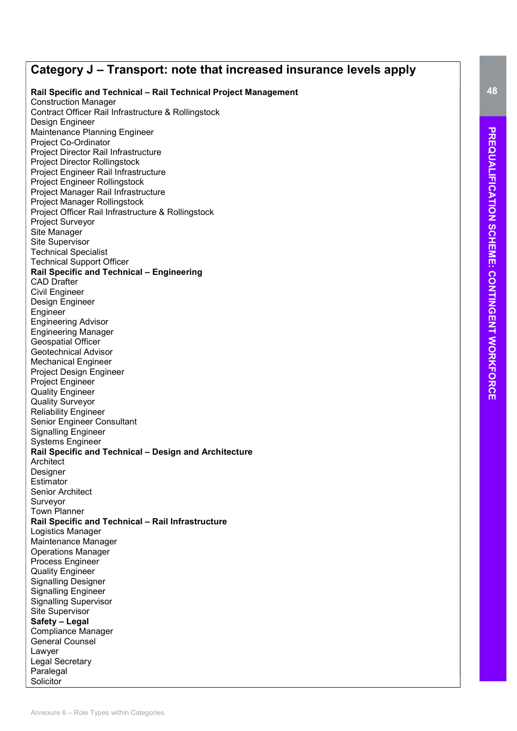## Category J – Transport: note that increased insurance levels apply

## Rail Specific and Technical – Rail Technical Project Management

Construction Manager Contract Officer Rail Infrastructure & Rollingstock Design Engineer Maintenance Planning Engineer Project Co-Ordinator Project Director Rail Infrastructure Project Director Rollingstock Project Engineer Rail Infrastructure Project Engineer Rollingstock Project Manager Rail Infrastructure Project Manager Rollingstock Project Officer Rail Infrastructure & Rollingstock Project Surveyor Site Manager Site Supervisor Technical Specialist Technical Support Officer Rail Specific and Technical – Engineering CAD Drafter Civil Engineer Design Engineer Engineer Engineering Advisor Engineering Manager Geospatial Officer Geotechnical Advisor Mechanical Engineer Project Design Engineer Project Engineer Quality Engineer Quality Surveyor Reliability Engineer Senior Engineer Consultant Signalling Engineer Systems Engineer Rail Specific and Technical – Design and Architecture Architect Designer **Estimator** Senior Architect Surveyor Town Planner Rail Specific and Technical – Rail Infrastructure Logistics Manager Maintenance Manager Operations Manager Process Engineer Quality Engineer Signalling Designer Signalling Engineer Signalling Supervisor Site Supervisor Safety – Legal Compliance Manager General Counsel Lawyer Legal Secretary Paralegal **Solicitor**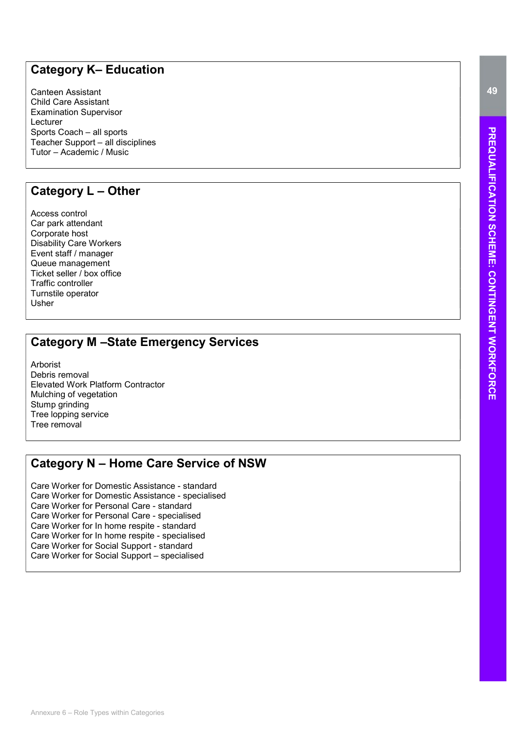## Category K– Education

Canteen Assistant Child Care Assistant Examination Supervisor Lecturer Sports Coach – all sports Teacher Support – all disciplines Tutor – Academic / Music

## Category L – Other

Access control Car park attendant Corporate host Disability Care Workers Event staff / manager Queue management Ticket seller / box office Traffic controller Turnstile operator Usher

## Category M –State Emergency Services

Arborist Debris removal Elevated Work Platform Contractor Mulching of vegetation Stump grinding Tree lopping service Tree removal

# Category N – Home Care Service of NSW

Care Worker for Domestic Assistance - standard Care Worker for Domestic Assistance - specialised Care Worker for Personal Care - standard Care Worker for Personal Care - specialised Care Worker for In home respite - standard Care Worker for In home respite - specialised Care Worker for Social Support - standard Care Worker for Social Support – specialised

49

Annexure 6 – Role Types within Categories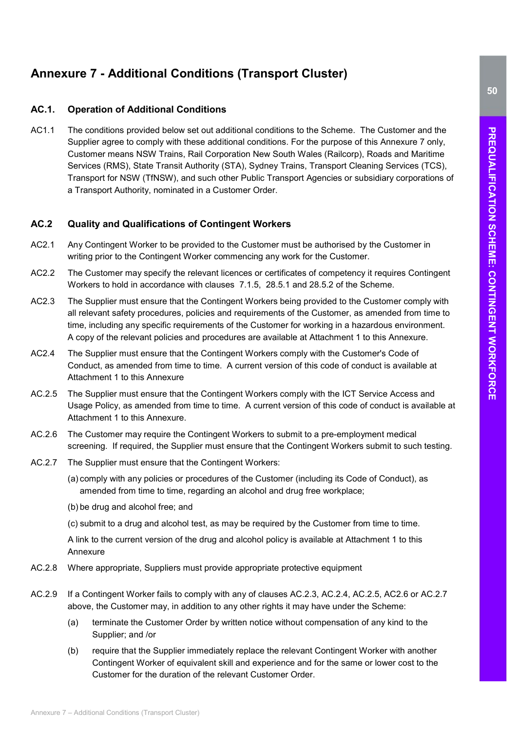# Annexure 7 - Additional Conditions (Transport Cluster)

### AC.1. Operation of Additional Conditions

AC1.1 The conditions provided below set out additional conditions to the Scheme. The Customer and the Supplier agree to comply with these additional conditions. For the purpose of this Annexure 7 only, Customer means NSW Trains, Rail Corporation New South Wales (Railcorp), Roads and Maritime Services (RMS), State Transit Authority (STA), Sydney Trains, Transport Cleaning Services (TCS), Transport for NSW (TfNSW), and such other Public Transport Agencies or subsidiary corporations of a Transport Authority, nominated in a Customer Order.

### AC.2 Quality and Qualifications of Contingent Workers

- AC2.1 Any Contingent Worker to be provided to the Customer must be authorised by the Customer in writing prior to the Contingent Worker commencing any work for the Customer.
- AC2.2 The Customer may specify the relevant licences or certificates of competency it requires Contingent Workers to hold in accordance with clauses 7.1.5, 28.5.1 and 28.5.2 of the Scheme.
- AC2.3 The Supplier must ensure that the Contingent Workers being provided to the Customer comply with all relevant safety procedures, policies and requirements of the Customer, as amended from time to time, including any specific requirements of the Customer for working in a hazardous environment. A copy of the relevant policies and procedures are available at Attachment 1 to this Annexure.
- AC2.4 The Supplier must ensure that the Contingent Workers comply with the Customer's Code of Conduct, as amended from time to time. A current version of this code of conduct is available at Attachment 1 to this Annexure
- AC.2.5 The Supplier must ensure that the Contingent Workers comply with the ICT Service Access and Usage Policy, as amended from time to time. A current version of this code of conduct is available at Attachment 1 to this Annexure.
- AC.2.6 The Customer may require the Contingent Workers to submit to a pre-employment medical screening. If required, the Supplier must ensure that the Contingent Workers submit to such testing.
- AC.2.7 The Supplier must ensure that the Contingent Workers:
	- (a) comply with any policies or procedures of the Customer (including its Code of Conduct), as amended from time to time, regarding an alcohol and drug free workplace;
	- (b) be drug and alcohol free; and
	- (c) submit to a drug and alcohol test, as may be required by the Customer from time to time.

 A link to the current version of the drug and alcohol policy is available at Attachment 1 to this Annexure

- AC.2.8 Where appropriate, Suppliers must provide appropriate protective equipment
- AC.2.9 If a Contingent Worker fails to comply with any of clauses AC.2.3, AC.2.4, AC.2.5, AC2.6 or AC.2.7 above, the Customer may, in addition to any other rights it may have under the Scheme:
	- (a) terminate the Customer Order by written notice without compensation of any kind to the Supplier; and /or
	- (b) require that the Supplier immediately replace the relevant Contingent Worker with another Contingent Worker of equivalent skill and experience and for the same or lower cost to the Customer for the duration of the relevant Customer Order.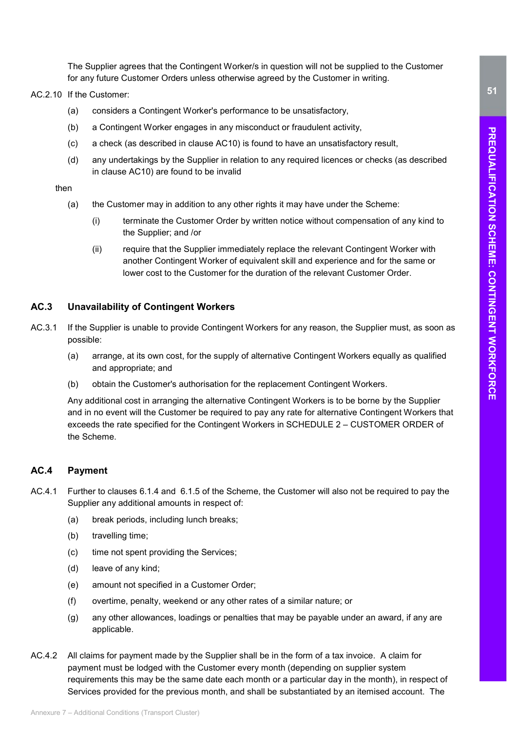The Supplier agrees that the Contingent Worker/s in question will not be supplied to the Customer for any future Customer Orders unless otherwise agreed by the Customer in writing.

#### AC.2.10 If the Customer:

- (a) considers a Contingent Worker's performance to be unsatisfactory,
- (b) a Contingent Worker engages in any misconduct or fraudulent activity,
- (c) a check (as described in clause AC10) is found to have an unsatisfactory result,
- (d) any undertakings by the Supplier in relation to any required licences or checks (as described in clause AC10) are found to be invalid

#### then

- (a) the Customer may in addition to any other rights it may have under the Scheme:
	- (i) terminate the Customer Order by written notice without compensation of any kind to the Supplier; and /or
	- (ii) require that the Supplier immediately replace the relevant Contingent Worker with another Contingent Worker of equivalent skill and experience and for the same or lower cost to the Customer for the duration of the relevant Customer Order.

### AC.3 Unavailability of Contingent Workers

- AC.3.1 If the Supplier is unable to provide Contingent Workers for any reason, the Supplier must, as soon as possible:
	- (a) arrange, at its own cost, for the supply of alternative Contingent Workers equally as qualified and appropriate; and
	- (b) obtain the Customer's authorisation for the replacement Contingent Workers.

Any additional cost in arranging the alternative Contingent Workers is to be borne by the Supplier and in no event will the Customer be required to pay any rate for alternative Contingent Workers that exceeds the rate specified for the Contingent Workers in SCHEDULE 2 – CUSTOMER ORDER of the Scheme.

### AC.4 Payment

- AC.4.1 Further to clauses 6.1.4 and 6.1.5 of the Scheme, the Customer will also not be required to pay the Supplier any additional amounts in respect of:
	- (a) break periods, including lunch breaks;
	- (b) travelling time;
	- (c) time not spent providing the Services;
	- (d) leave of any kind;
	- (e) amount not specified in a Customer Order;
	- (f) overtime, penalty, weekend or any other rates of a similar nature; or
	- (g) any other allowances, loadings or penalties that may be payable under an award, if any are applicable.
- AC.4.2 All claims for payment made by the Supplier shall be in the form of a tax invoice. A claim for payment must be lodged with the Customer every month (depending on supplier system requirements this may be the same date each month or a particular day in the month), in respect of Services provided for the previous month, and shall be substantiated by an itemised account. The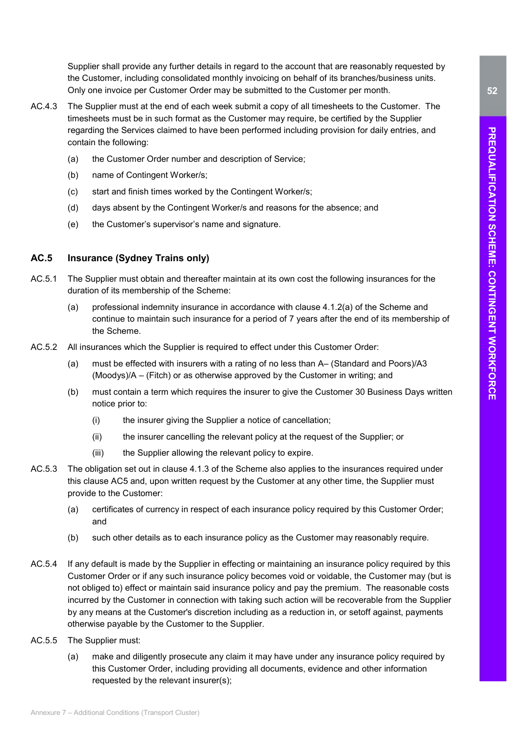Supplier shall provide any further details in regard to the account that are reasonably requested by the Customer, including consolidated monthly invoicing on behalf of its branches/business units. Only one invoice per Customer Order may be submitted to the Customer per month.

- AC.4.3 The Supplier must at the end of each week submit a copy of all timesheets to the Customer. The timesheets must be in such format as the Customer may require, be certified by the Supplier regarding the Services claimed to have been performed including provision for daily entries, and contain the following:
	- (a) the Customer Order number and description of Service;
	- (b) name of Contingent Worker/s;
	- (c) start and finish times worked by the Contingent Worker/s;
	- (d) days absent by the Contingent Worker/s and reasons for the absence; and
	- (e) the Customer's supervisor's name and signature.

### AC.5 Insurance (Sydney Trains only)

- AC.5.1 The Supplier must obtain and thereafter maintain at its own cost the following insurances for the duration of its membership of the Scheme:
	- (a) professional indemnity insurance in accordance with clause 4.1.2(a) of the Scheme and continue to maintain such insurance for a period of 7 years after the end of its membership of the Scheme.
- AC.5.2 All insurances which the Supplier is required to effect under this Customer Order:
	- (a) must be effected with insurers with a rating of no less than A– (Standard and Poors)/A3 (Moodys)/A – (Fitch) or as otherwise approved by the Customer in writing; and
	- (b) must contain a term which requires the insurer to give the Customer 30 Business Days written notice prior to:
		- (i) the insurer giving the Supplier a notice of cancellation;
		- (ii) the insurer cancelling the relevant policy at the request of the Supplier; or
		- (iii) the Supplier allowing the relevant policy to expire.
- AC.5.3 The obligation set out in clause 4.1.3 of the Scheme also applies to the insurances required under this clause AC5 and, upon written request by the Customer at any other time, the Supplier must provide to the Customer:
	- (a) certificates of currency in respect of each insurance policy required by this Customer Order; and
	- (b) such other details as to each insurance policy as the Customer may reasonably require.
- AC.5.4 If any default is made by the Supplier in effecting or maintaining an insurance policy required by this Customer Order or if any such insurance policy becomes void or voidable, the Customer may (but is not obliged to) effect or maintain said insurance policy and pay the premium. The reasonable costs incurred by the Customer in connection with taking such action will be recoverable from the Supplier by any means at the Customer's discretion including as a reduction in, or setoff against, payments otherwise payable by the Customer to the Supplier.
- AC.5.5 The Supplier must:
	- (a) make and diligently prosecute any claim it may have under any insurance policy required by this Customer Order, including providing all documents, evidence and other information requested by the relevant insurer(s);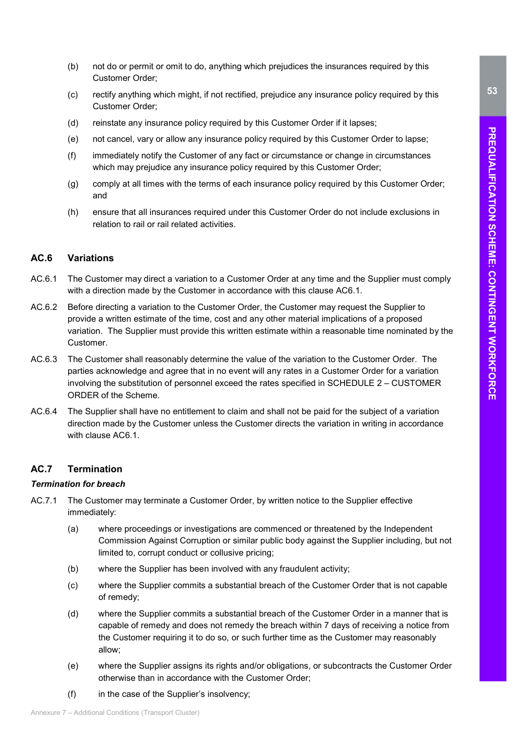- (b) not do or permit or omit to do, anything which prejudices the insurances required by this Customer Order;
- (c) rectify anything which might, if not rectified, prejudice any insurance policy required by this Customer Order;
- (d) reinstate any insurance policy required by this Customer Order if it lapses;
- (e) not cancel, vary or allow any insurance policy required by this Customer Order to lapse;
- (f) immediately notify the Customer of any fact or circumstance or change in circumstances which may prejudice any insurance policy required by this Customer Order;
- (g) comply at all times with the terms of each insurance policy required by this Customer Order; and
- (h) ensure that all insurances required under this Customer Order do not include exclusions in relation to rail or rail related activities.

### AC.6 Variations

- AC.6.1 The Customer may direct a variation to a Customer Order at any time and the Supplier must comply with a direction made by the Customer in accordance with this clause AC6.1.
- AC.6.2 Before directing a variation to the Customer Order, the Customer may request the Supplier to provide a written estimate of the time, cost and any other material implications of a proposed variation. The Supplier must provide this written estimate within a reasonable time nominated by the Customer.
- AC.6.3 The Customer shall reasonably determine the value of the variation to the Customer Order. The parties acknowledge and agree that in no event will any rates in a Customer Order for a variation involving the substitution of personnel exceed the rates specified in SCHEDULE 2 – CUSTOMER ORDER of the Scheme.
- AC.6.4 The Supplier shall have no entitlement to claim and shall not be paid for the subject of a variation direction made by the Customer unless the Customer directs the variation in writing in accordance with clause AC6.1.

### AC.7 Termination

#### Termination for breach

- AC.7.1 The Customer may terminate a Customer Order, by written notice to the Supplier effective immediately:
	- (a) where proceedings or investigations are commenced or threatened by the Independent Commission Against Corruption or similar public body against the Supplier including, but not limited to, corrupt conduct or collusive pricing;
	- (b) where the Supplier has been involved with any fraudulent activity;
	- (c) where the Supplier commits a substantial breach of the Customer Order that is not capable of remedy;
	- (d) where the Supplier commits a substantial breach of the Customer Order in a manner that is capable of remedy and does not remedy the breach within 7 days of receiving a notice from the Customer requiring it to do so, or such further time as the Customer may reasonably allow;
	- (e) where the Supplier assigns its rights and/or obligations, or subcontracts the Customer Order otherwise than in accordance with the Customer Order;
	- $(f)$  in the case of the Supplier's insolvency;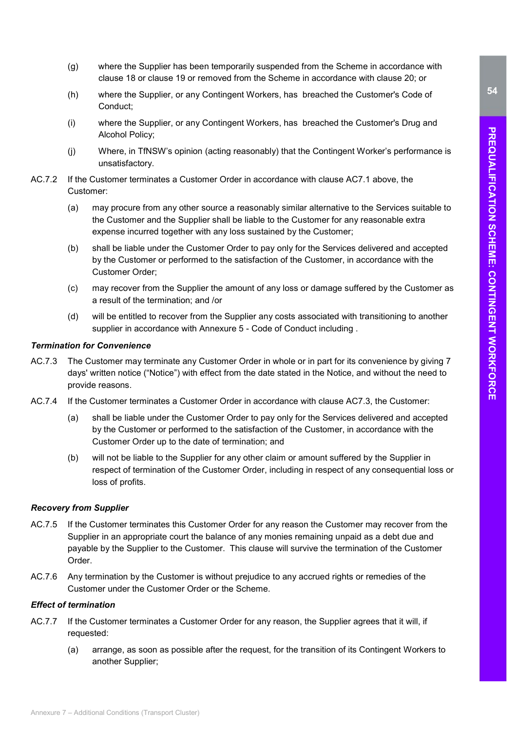- (g) where the Supplier has been temporarily suspended from the Scheme in accordance with clause 18 or clause 19 or removed from the Scheme in accordance with clause 20; or
- (h) where the Supplier, or any Contingent Workers, has breached the Customer's Code of Conduct;
- (i) where the Supplier, or any Contingent Workers, has breached the Customer's Drug and Alcohol Policy;
- (j) Where, in TfNSW's opinion (acting reasonably) that the Contingent Worker's performance is unsatisfactory.
- AC.7.2 If the Customer terminates a Customer Order in accordance with clause AC7.1 above, the Customer:
	- (a) may procure from any other source a reasonably similar alternative to the Services suitable to the Customer and the Supplier shall be liable to the Customer for any reasonable extra expense incurred together with any loss sustained by the Customer;
	- (b) shall be liable under the Customer Order to pay only for the Services delivered and accepted by the Customer or performed to the satisfaction of the Customer, in accordance with the Customer Order;
	- (c) may recover from the Supplier the amount of any loss or damage suffered by the Customer as a result of the termination; and /or
	- (d) will be entitled to recover from the Supplier any costs associated with transitioning to another supplier in accordance with Annexure 5 - Code of Conduct including .

#### Termination for Convenience

- AC.7.3 The Customer may terminate any Customer Order in whole or in part for its convenience by giving 7 days' written notice ("Notice") with effect from the date stated in the Notice, and without the need to provide reasons.
- AC.7.4 If the Customer terminates a Customer Order in accordance with clause AC7.3, the Customer:
	- (a) shall be liable under the Customer Order to pay only for the Services delivered and accepted by the Customer or performed to the satisfaction of the Customer, in accordance with the Customer Order up to the date of termination; and
	- (b) will not be liable to the Supplier for any other claim or amount suffered by the Supplier in respect of termination of the Customer Order, including in respect of any consequential loss or loss of profits.

#### Recovery from Supplier

- AC.7.5 If the Customer terminates this Customer Order for any reason the Customer may recover from the Supplier in an appropriate court the balance of any monies remaining unpaid as a debt due and payable by the Supplier to the Customer. This clause will survive the termination of the Customer Order.
- AC.7.6 Any termination by the Customer is without prejudice to any accrued rights or remedies of the Customer under the Customer Order or the Scheme.

### Effect of termination

- AC.7.7 If the Customer terminates a Customer Order for any reason, the Supplier agrees that it will, if requested:
	- (a) arrange, as soon as possible after the request, for the transition of its Contingent Workers to another Supplier;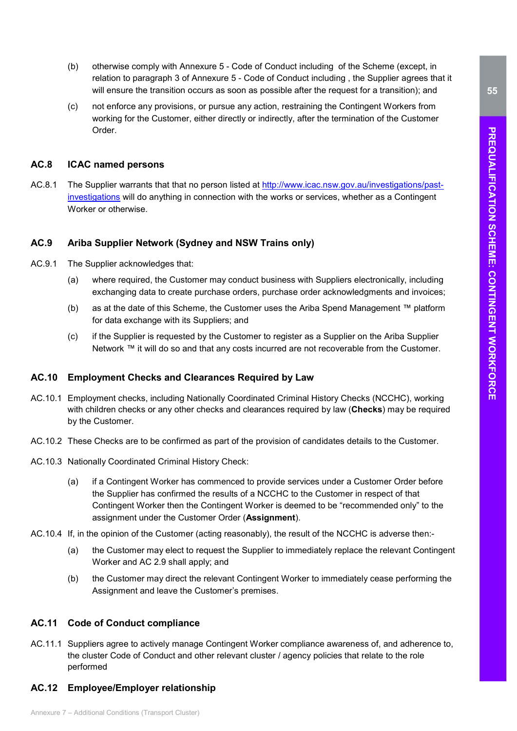- (b) otherwise comply with Annexure 5 Code of Conduct including of the Scheme (except, in relation to paragraph 3 of Annexure 5 - Code of Conduct including , the Supplier agrees that it will ensure the transition occurs as soon as possible after the request for a transition); and
- (c) not enforce any provisions, or pursue any action, restraining the Contingent Workers from working for the Customer, either directly or indirectly, after the termination of the Customer Order.

#### AC.8 ICAC named persons

AC.8.1 The Supplier warrants that that no person listed at http://www.icac.nsw.gov.au/investigations/pastinvestigations will do anything in connection with the works or services, whether as a Contingent Worker or otherwise.

### AC.9 Ariba Supplier Network (Sydney and NSW Trains only)

- AC.9.1 The Supplier acknowledges that:
	- (a) where required, the Customer may conduct business with Suppliers electronically, including exchanging data to create purchase orders, purchase order acknowledgments and invoices;
	- (b) as at the date of this Scheme, the Customer uses the Ariba Spend Management ™ platform for data exchange with its Suppliers; and
	- (c) if the Supplier is requested by the Customer to register as a Supplier on the Ariba Supplier Network ™ it will do so and that any costs incurred are not recoverable from the Customer.

#### AC.10 Employment Checks and Clearances Required by Law

- AC.10.1 Employment checks, including Nationally Coordinated Criminal History Checks (NCCHC), working with children checks or any other checks and clearances required by law (Checks) may be required by the Customer.
- AC.10.2 These Checks are to be confirmed as part of the provision of candidates details to the Customer.
- AC.10.3 Nationally Coordinated Criminal History Check:
	- (a) if a Contingent Worker has commenced to provide services under a Customer Order before the Supplier has confirmed the results of a NCCHC to the Customer in respect of that Contingent Worker then the Contingent Worker is deemed to be "recommended only" to the assignment under the Customer Order (Assignment).
- AC.10.4 If, in the opinion of the Customer (acting reasonably), the result of the NCCHC is adverse then:-
	- (a) the Customer may elect to request the Supplier to immediately replace the relevant Contingent Worker and AC 2.9 shall apply; and
	- (b) the Customer may direct the relevant Contingent Worker to immediately cease performing the Assignment and leave the Customer's premises.

#### AC.11 Code of Conduct compliance

AC.11.1 Suppliers agree to actively manage Contingent Worker compliance awareness of, and adherence to, the cluster Code of Conduct and other relevant cluster / agency policies that relate to the role performed

### AC.12 Employee/Employer relationship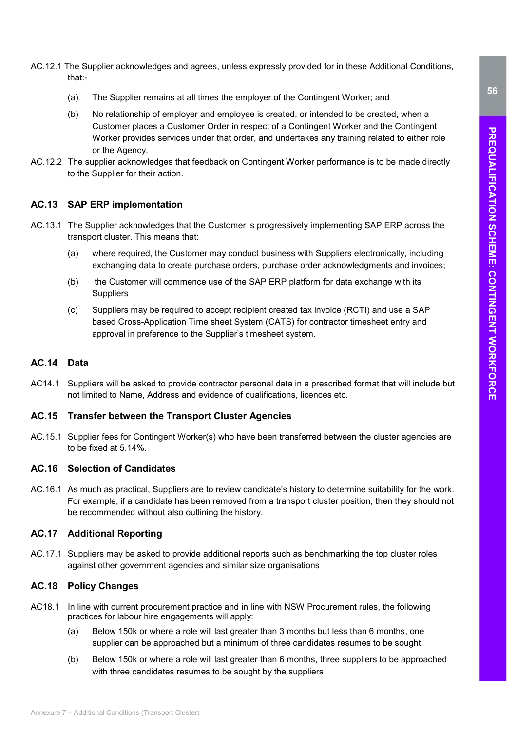- AC.12.1 The Supplier acknowledges and agrees, unless expressly provided for in these Additional Conditions, that:-
	- (a) The Supplier remains at all times the employer of the Contingent Worker; and
	- (b) No relationship of employer and employee is created, or intended to be created, when a Customer places a Customer Order in respect of a Contingent Worker and the Contingent Worker provides services under that order, and undertakes any training related to either role or the Agency.
- AC.12.2 The supplier acknowledges that feedback on Contingent Worker performance is to be made directly to the Supplier for their action.

#### AC.13 SAP ERP implementation

- AC.13.1 The Supplier acknowledges that the Customer is progressively implementing SAP ERP across the transport cluster. This means that:
	- (a) where required, the Customer may conduct business with Suppliers electronically, including exchanging data to create purchase orders, purchase order acknowledgments and invoices;
	- (b) the Customer will commence use of the SAP ERP platform for data exchange with its **Suppliers**
	- (c) Suppliers may be required to accept recipient created tax invoice (RCTI) and use a SAP based Cross-Application Time sheet System (CATS) for contractor timesheet entry and approval in preference to the Supplier's timesheet system.

#### AC.14 Data

AC14.1 Suppliers will be asked to provide contractor personal data in a prescribed format that will include but not limited to Name, Address and evidence of qualifications, licences etc.

#### AC.15 Transfer between the Transport Cluster Agencies

AC.15.1 Supplier fees for Contingent Worker(s) who have been transferred between the cluster agencies are to be fixed at 5.14%.

#### AC.16 Selection of Candidates

AC.16.1 As much as practical, Suppliers are to review candidate's history to determine suitability for the work. For example, if a candidate has been removed from a transport cluster position, then they should not be recommended without also outlining the history.

### AC.17 Additional Reporting

AC.17.1 Suppliers may be asked to provide additional reports such as benchmarking the top cluster roles against other government agencies and similar size organisations

### AC.18 Policy Changes

- AC18.1 In line with current procurement practice and in line with NSW Procurement rules, the following practices for labour hire engagements will apply:
	- (a) Below 150k or where a role will last greater than 3 months but less than 6 months, one supplier can be approached but a minimum of three candidates resumes to be sought
	- (b) Below 150k or where a role will last greater than 6 months, three suppliers to be approached with three candidates resumes to be sought by the suppliers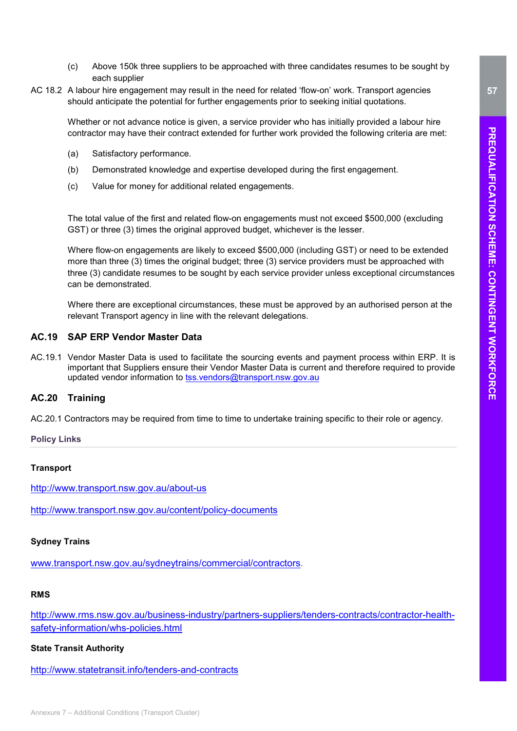- (c) Above 150k three suppliers to be approached with three candidates resumes to be sought by each supplier
- AC 18.2 A labour hire engagement may result in the need for related 'flow-on' work. Transport agencies should anticipate the potential for further engagements prior to seeking initial quotations.

Whether or not advance notice is given, a service provider who has initially provided a labour hire contractor may have their contract extended for further work provided the following criteria are met:

- (a) Satisfactory performance.
- (b) Demonstrated knowledge and expertise developed during the first engagement.
- (c) Value for money for additional related engagements.

The total value of the first and related flow-on engagements must not exceed \$500,000 (excluding GST) or three (3) times the original approved budget, whichever is the lesser.

Where flow-on engagements are likely to exceed \$500,000 (including GST) or need to be extended more than three (3) times the original budget; three (3) service providers must be approached with three (3) candidate resumes to be sought by each service provider unless exceptional circumstances can be demonstrated.

Where there are exceptional circumstances, these must be approved by an authorised person at the relevant Transport agency in line with the relevant delegations.

### AC.19 SAP ERP Vendor Master Data

AC.19.1 Vendor Master Data is used to facilitate the sourcing events and payment process within ERP. It is important that Suppliers ensure their Vendor Master Data is current and therefore required to provide updated vendor information to tss.vendors@transport.nsw.gov.au

### AC.20 Training

AC.20.1 Contractors may be required from time to time to undertake training specific to their role or agency.

Policy Links

#### **Transport**

http://www.transport.nsw.gov.au/about-us

http://www.transport.nsw.gov.au/content/policy-documents

#### Sydney Trains

www.transport.nsw.gov.au/sydneytrains/commercial/contractors.

#### RMS

http://www.rms.nsw.gov.au/business-industry/partners-suppliers/tenders-contracts/contractor-healthsafety-information/whs-policies.html

#### State Transit Authority

http://www.statetransit.info/tenders-and-contracts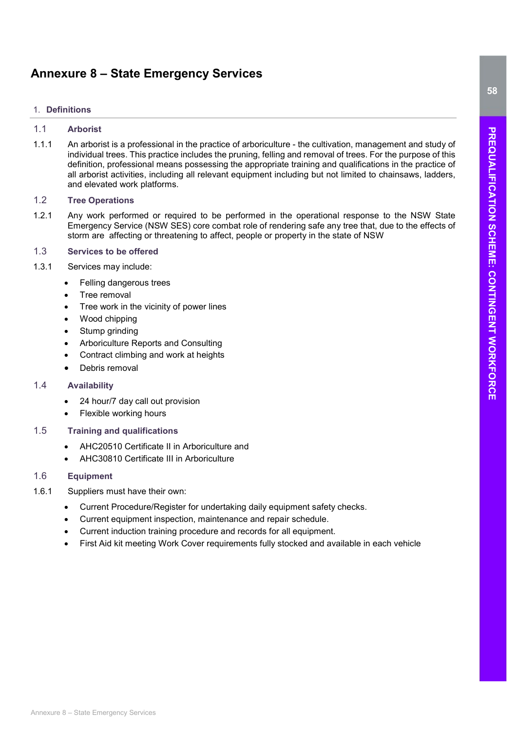## Annexure 8 – State Emergency Services

### 1. Definitions

### 1.1 Arborist

 1.1.1 An arborist is a professional in the practice of arboriculture - the cultivation, management and study of individual trees. This practice includes the pruning, felling and removal of trees. For the purpose of this definition, professional means possessing the appropriate training and qualifications in the practice of all arborist activities, including all relevant equipment including but not limited to chainsaws, ladders, and elevated work platforms.

### 1.2 Tree Operations

 1.2.1 Any work performed or required to be performed in the operational response to the NSW State Emergency Service (NSW SES) core combat role of rendering safe any tree that, due to the effects of storm are affecting or threatening to affect, people or property in the state of NSW

#### 1.3 Services to be offered

- 1.3.1 Services may include:
	- Felling dangerous trees
	- Tree removal
	- Tree work in the vicinity of power lines
	- Wood chipping
	- Stump grinding
	- Arboriculture Reports and Consulting
	- Contract climbing and work at heights
	- Debris removal

### 1.4 Availability

- 24 hour/7 day call out provision
- Flexible working hours
- 1.5 Training and qualifications
	- AHC20510 Certificate II in Arboriculture and
	- AHC30810 Certificate III in Arboriculture

### 1.6 Equipment

- 1.6.1 Suppliers must have their own:
	- Current Procedure/Register for undertaking daily equipment safety checks.
	- Current equipment inspection, maintenance and repair schedule.
	- Current induction training procedure and records for all equipment.
	- First Aid kit meeting Work Cover requirements fully stocked and available in each vehicle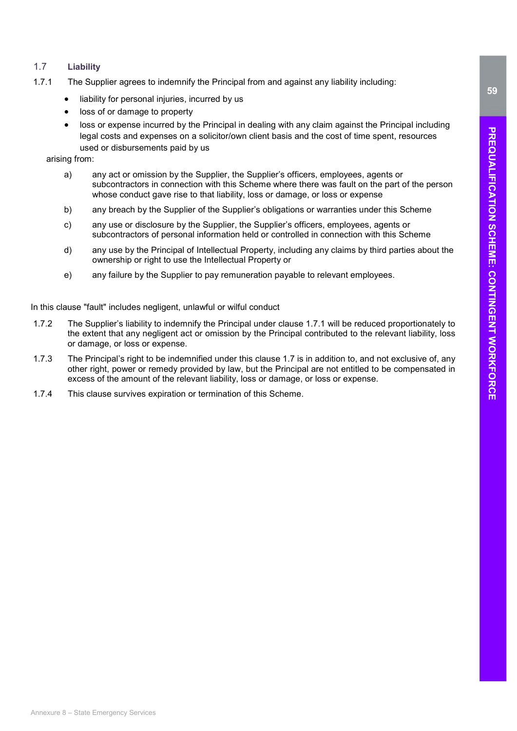### 1.7 Liability

- 1.7.1 The Supplier agrees to indemnify the Principal from and against any liability including:
	- liability for personal injuries, incurred by us
	- loss of or damage to property
	- loss or expense incurred by the Principal in dealing with any claim against the Principal including legal costs and expenses on a solicitor/own client basis and the cost of time spent, resources used or disbursements paid by us

arising from:

- a) any act or omission by the Supplier, the Supplier's officers, employees, agents or subcontractors in connection with this Scheme where there was fault on the part of the person whose conduct gave rise to that liability, loss or damage, or loss or expense
- b) any breach by the Supplier of the Supplier's obligations or warranties under this Scheme
- c) any use or disclosure by the Supplier, the Supplier's officers, employees, agents or subcontractors of personal information held or controlled in connection with this Scheme
- d) any use by the Principal of Intellectual Property, including any claims by third parties about the ownership or right to use the Intellectual Property or
- e) any failure by the Supplier to pay remuneration payable to relevant employees.

In this clause "fault" includes negligent, unlawful or wilful conduct

- 1.7.2 The Supplier's liability to indemnify the Principal under clause 1.7.1 will be reduced proportionately to the extent that any negligent act or omission by the Principal contributed to the relevant liability, loss or damage, or loss or expense.
- 1.7.3 The Principal's right to be indemnified under this clause 1.7 is in addition to, and not exclusive of, any other right, power or remedy provided by law, but the Principal are not entitled to be compensated in excess of the amount of the relevant liability, loss or damage, or loss or expense.
- 1.7.4 This clause survives expiration or termination of this Scheme.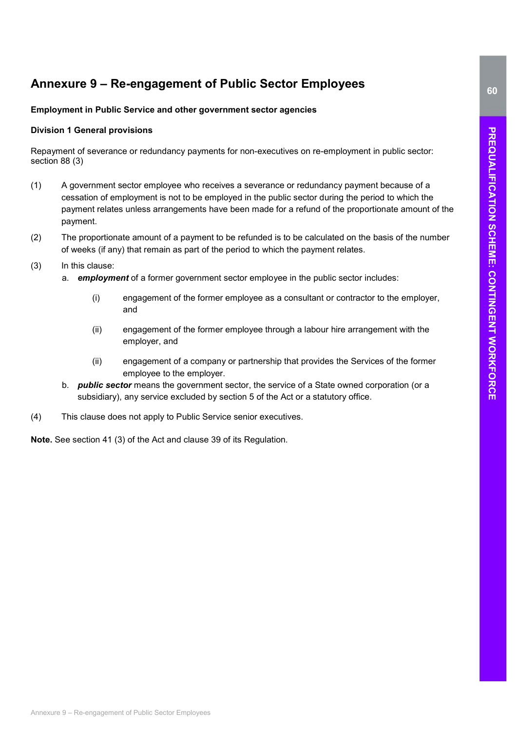# Annexure 9 – Re-engagement of Public Sector Employees

### Employment in Public Service and other government sector agencies

### Division 1 General provisions

Repayment of severance or redundancy payments for non-executives on re-employment in public sector: section 88 (3)

- (1) A government sector employee who receives a severance or redundancy payment because of a cessation of employment is not to be employed in the public sector during the period to which the payment relates unless arrangements have been made for a refund of the proportionate amount of the payment.
- (2) The proportionate amount of a payment to be refunded is to be calculated on the basis of the number of weeks (if any) that remain as part of the period to which the payment relates.
- (3) In this clause:
	- a. employment of a former government sector employee in the public sector includes:
		- (i) engagement of the former employee as a consultant or contractor to the employer, and
		- (ii) engagement of the former employee through a labour hire arrangement with the employer, and
		- (ii) engagement of a company or partnership that provides the Services of the former employee to the employer.
	- b. **public sector** means the government sector, the service of a State owned corporation (or a subsidiary), any service excluded by section 5 of the Act or a statutory office.
- (4) This clause does not apply to Public Service senior executives.

Note. See section 41 (3) of the Act and clause 39 of its Regulation.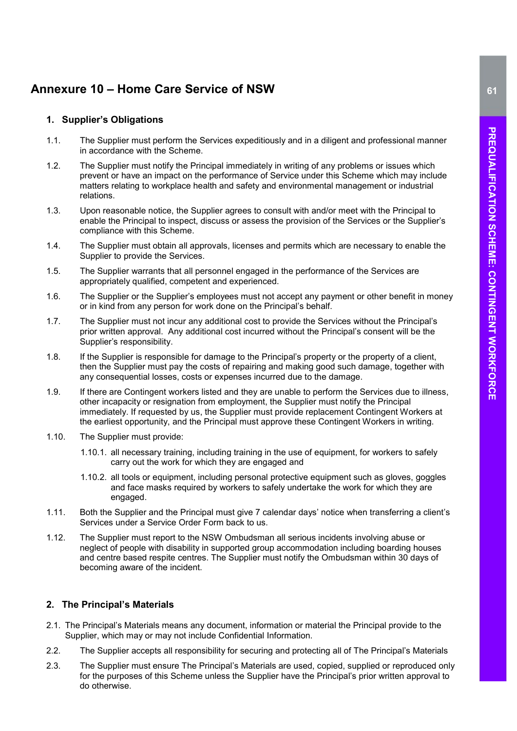## Annexure 10 – Home Care Service of NSW

### 1. Supplier's Obligations

- 1.1. The Supplier must perform the Services expeditiously and in a diligent and professional manner in accordance with the Scheme.
- 1.2. The Supplier must notify the Principal immediately in writing of any problems or issues which prevent or have an impact on the performance of Service under this Scheme which may include matters relating to workplace health and safety and environmental management or industrial relations.
- 1.3. Upon reasonable notice, the Supplier agrees to consult with and/or meet with the Principal to enable the Principal to inspect, discuss or assess the provision of the Services or the Supplier's compliance with this Scheme.
- 1.4. The Supplier must obtain all approvals, licenses and permits which are necessary to enable the Supplier to provide the Services.
- 1.5. The Supplier warrants that all personnel engaged in the performance of the Services are appropriately qualified, competent and experienced.
- 1.6. The Supplier or the Supplier's employees must not accept any payment or other benefit in money or in kind from any person for work done on the Principal's behalf.
- 1.7. The Supplier must not incur any additional cost to provide the Services without the Principal's prior written approval. Any additional cost incurred without the Principal's consent will be the Supplier's responsibility.
- 1.8. If the Supplier is responsible for damage to the Principal's property or the property of a client, then the Supplier must pay the costs of repairing and making good such damage, together with any consequential losses, costs or expenses incurred due to the damage.
- 1.9. If there are Contingent workers listed and they are unable to perform the Services due to illness, other incapacity or resignation from employment, the Supplier must notify the Principal immediately. If requested by us, the Supplier must provide replacement Contingent Workers at the earliest opportunity, and the Principal must approve these Contingent Workers in writing.
- 1.10. The Supplier must provide:
	- 1.10.1. all necessary training, including training in the use of equipment, for workers to safely carry out the work for which they are engaged and
	- 1.10.2. all tools or equipment, including personal protective equipment such as gloves, goggles and face masks required by workers to safely undertake the work for which they are engaged.
- 1.11. Both the Supplier and the Principal must give 7 calendar days' notice when transferring a client's Services under a Service Order Form back to us.
- 1.12. The Supplier must report to the NSW Ombudsman all serious incidents involving abuse or neglect of people with disability in supported group accommodation including boarding houses and centre based respite centres. The Supplier must notify the Ombudsman within 30 days of becoming aware of the incident.

### 2. The Principal's Materials

- 2.1. The Principal's Materials means any document, information or material the Principal provide to the Supplier, which may or may not include Confidential Information.
- 2.2. The Supplier accepts all responsibility for securing and protecting all of The Principal's Materials
- 2.3. The Supplier must ensure The Principal's Materials are used, copied, supplied or reproduced only for the purposes of this Scheme unless the Supplier have the Principal's prior written approval to do otherwise.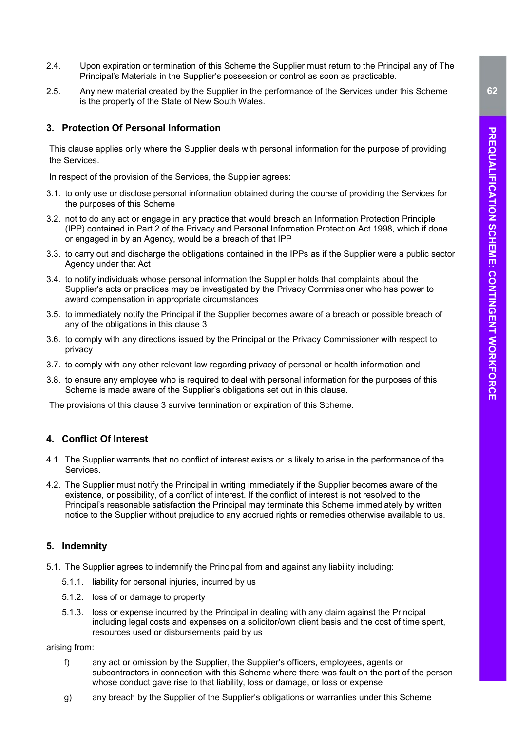- 2.4. Upon expiration or termination of this Scheme the Supplier must return to the Principal any of The Principal's Materials in the Supplier's possession or control as soon as practicable.
- 2.5. Any new material created by the Supplier in the performance of the Services under this Scheme is the property of the State of New South Wales.

#### 3. Protection Of Personal Information

This clause applies only where the Supplier deals with personal information for the purpose of providing the Services.

In respect of the provision of the Services, the Supplier agrees:

- 3.1. to only use or disclose personal information obtained during the course of providing the Services for the purposes of this Scheme
- 3.2. not to do any act or engage in any practice that would breach an Information Protection Principle (IPP) contained in Part 2 of the Privacy and Personal Information Protection Act 1998, which if done or engaged in by an Agency, would be a breach of that IPP
- 3.3. to carry out and discharge the obligations contained in the IPPs as if the Supplier were a public sector Agency under that Act
- 3.4. to notify individuals whose personal information the Supplier holds that complaints about the Supplier's acts or practices may be investigated by the Privacy Commissioner who has power to award compensation in appropriate circumstances
- 3.5. to immediately notify the Principal if the Supplier becomes aware of a breach or possible breach of any of the obligations in this clause 3
- 3.6. to comply with any directions issued by the Principal or the Privacy Commissioner with respect to privacy
- 3.7. to comply with any other relevant law regarding privacy of personal or health information and
- 3.8. to ensure any employee who is required to deal with personal information for the purposes of this Scheme is made aware of the Supplier's obligations set out in this clause.

The provisions of this clause 3 survive termination or expiration of this Scheme.

### 4. Conflict Of Interest

- 4.1. The Supplier warrants that no conflict of interest exists or is likely to arise in the performance of the Services.
- 4.2. The Supplier must notify the Principal in writing immediately if the Supplier becomes aware of the existence, or possibility, of a conflict of interest. If the conflict of interest is not resolved to the Principal's reasonable satisfaction the Principal may terminate this Scheme immediately by written notice to the Supplier without prejudice to any accrued rights or remedies otherwise available to us.

#### 5. Indemnity

- 5.1. The Supplier agrees to indemnify the Principal from and against any liability including:
	- 5.1.1. liability for personal injuries, incurred by us
	- 5.1.2. loss of or damage to property
	- 5.1.3. loss or expense incurred by the Principal in dealing with any claim against the Principal including legal costs and expenses on a solicitor/own client basis and the cost of time spent, resources used or disbursements paid by us

arising from:

- f) any act or omission by the Supplier, the Supplier's officers, employees, agents or subcontractors in connection with this Scheme where there was fault on the part of the person whose conduct gave rise to that liability, loss or damage, or loss or expense
- g) any breach by the Supplier of the Supplier's obligations or warranties under this Scheme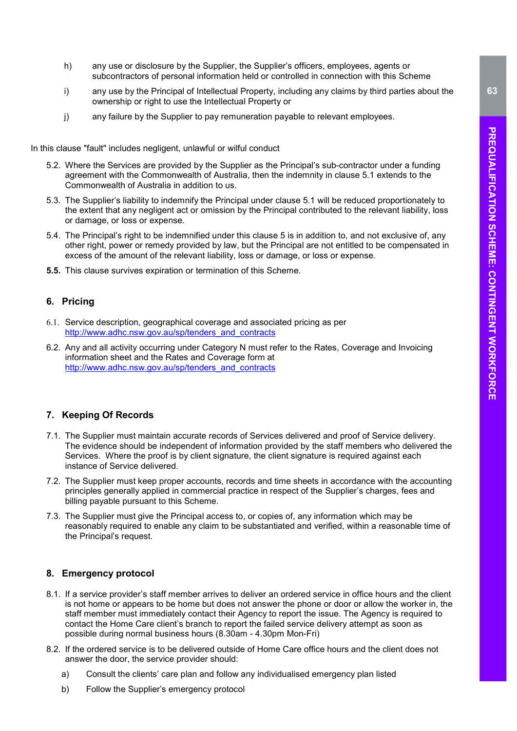- h) any use or disclosure by the Supplier, the Supplier's officers, employees, agents or subcontractors of personal information held or controlled in connection with this Scheme
- i) any use by the Principal of Intellectual Property, including any claims by third parties about the ownership or right to use the Intellectual Property or
- j) any failure by the Supplier to pay remuneration payable to relevant employees.

In this clause "fault" includes negligent, unlawful or wilful conduct

- 5.2. Where the Services are provided by the Supplier as the Principal's sub-contractor under a funding agreement with the Commonwealth of Australia, then the indemnity in clause 5.1 extends to the Commonwealth of Australia in addition to us.
- 5.3. The Supplier's liability to indemnify the Principal under clause 5.1 will be reduced proportionately to the extent that any negligent act or omission by the Principal contributed to the relevant liability, loss or damage, or loss or expense.
- 5.4. The Principal's right to be indemnified under this clause 5 is in addition to, and not exclusive of, any other right, power or remedy provided by law, but the Principal are not entitled to be compensated in excess of the amount of the relevant liability, loss or damage, or loss or expense.
- 5.5. This clause survives expiration or termination of this Scheme.

### 6. Pricing

- 6.1. Service description, geographical coverage and associated pricing as per http://www.adhc.nsw.gov.au/sp/tenders\_and\_contracts
- 6.2. Any and all activity occurring under Category N must refer to the Rates, Coverage and Invoicing information sheet and the Rates and Coverage form at http://www.adhc.nsw.gov.au/sp/tenders\_and\_contracts

### 7. Keeping Of Records

- 7.1. The Supplier must maintain accurate records of Services delivered and proof of Service delivery. The evidence should be independent of information provided by the staff members who delivered the Services. Where the proof is by client signature, the client signature is required against each instance of Service delivered.
- 7.2. The Supplier must keep proper accounts, records and time sheets in accordance with the accounting principles generally applied in commercial practice in respect of the Supplier's charges, fees and billing payable pursuant to this Scheme.
- 7.3. The Supplier must give the Principal access to, or copies of, any information which may be reasonably required to enable any claim to be substantiated and verified, within a reasonable time of the Principal's request.

#### 8. Emergency protocol

- 8.1. If a service provider's staff member arrives to deliver an ordered service in office hours and the client is not home or appears to be home but does not answer the phone or door or allow the worker in, the staff member must immediately contact their Agency to report the issue. The Agency is required to contact the Home Care client's branch to report the failed service delivery attempt as soon as possible during normal business hours (8.30am - 4.30pm Mon-Fri)
- 8.2. If the ordered service is to be delivered outside of Home Care office hours and the client does not answer the door, the service provider should:
	- a) Consult the clients' care plan and follow any individualised emergency plan listed
	- b) Follow the Supplier's emergency protocol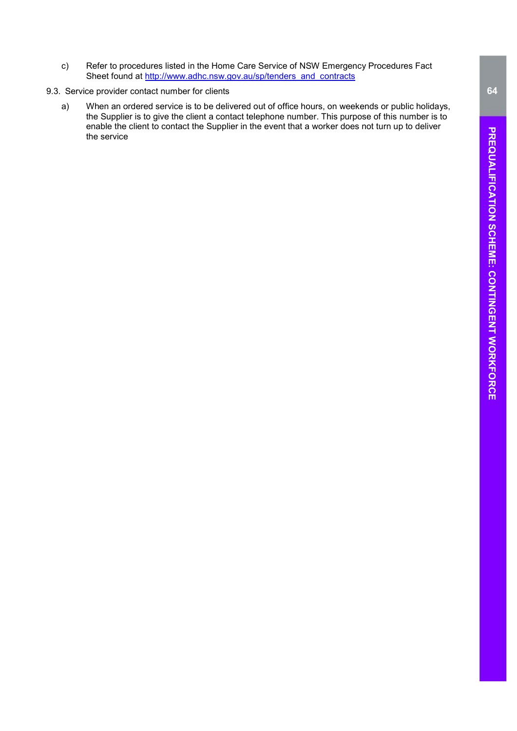- c) Refer to procedures listed in the Home Care Service of NSW Emergency Procedures Fact Sheet found at http://www.adhc.nsw.gov.au/sp/tenders\_and\_contracts
- 9.3. Service provider contact number for clients
	- a) When an ordered service is to be delivered out of office hours, on weekends or public holidays, the Supplier is to give the client a contact telephone number. This purpose of this number is to enable the client to contact the Supplier in the event that a worker does not turn up to deliver the service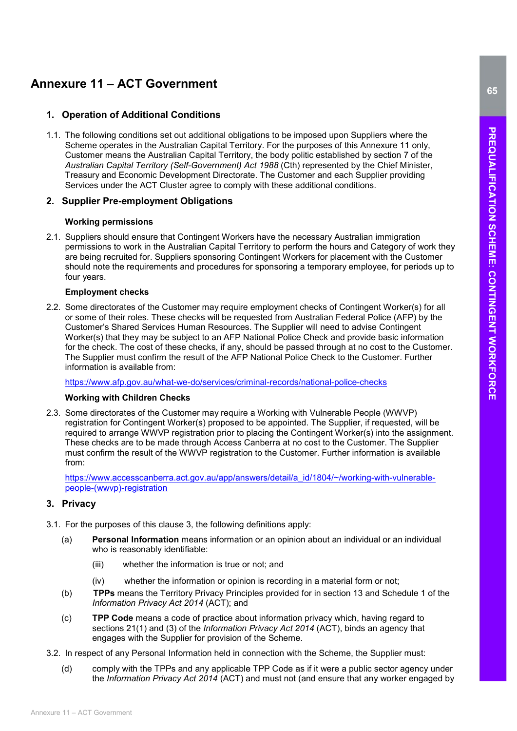# Annexure 11 – ACT Government

### 1. Operation of Additional Conditions

1.1. The following conditions set out additional obligations to be imposed upon Suppliers where the Scheme operates in the Australian Capital Territory. For the purposes of this Annexure 11 only, Customer means the Australian Capital Territory, the body politic established by section 7 of the Australian Capital Territory (Self-Government) Act 1988 (Cth) represented by the Chief Minister, Treasury and Economic Development Directorate. The Customer and each Supplier providing Services under the ACT Cluster agree to comply with these additional conditions.

### 2. Supplier Pre-employment Obligations

### Working permissions

2.1. Suppliers should ensure that Contingent Workers have the necessary Australian immigration permissions to work in the Australian Capital Territory to perform the hours and Category of work they are being recruited for. Suppliers sponsoring Contingent Workers for placement with the Customer should note the requirements and procedures for sponsoring a temporary employee, for periods up to four years.

### Employment checks

2.2. Some directorates of the Customer may require employment checks of Contingent Worker(s) for all or some of their roles. These checks will be requested from Australian Federal Police (AFP) by the Customer's Shared Services Human Resources. The Supplier will need to advise Contingent Worker(s) that they may be subject to an AFP National Police Check and provide basic information for the check. The cost of these checks, if any, should be passed through at no cost to the Customer. The Supplier must confirm the result of the AFP National Police Check to the Customer. Further information is available from:

https://www.afp.gov.au/what-we-do/services/criminal-records/national-police-checks

### Working with Children Checks

2.3. Some directorates of the Customer may require a Working with Vulnerable People (WWVP) registration for Contingent Worker(s) proposed to be appointed. The Supplier, if requested, will be required to arrange WWVP registration prior to placing the Contingent Worker(s) into the assignment. These checks are to be made through Access Canberra at no cost to the Customer. The Supplier must confirm the result of the WWVP registration to the Customer. Further information is available from:

https://www.accesscanberra.act.gov.au/app/answers/detail/a\_id/1804/~/working-with-vulnerablepeople-(wwvp)-registration

### 3. Privacy

- 3.1. For the purposes of this clause 3, the following definitions apply:
	- (a) Personal Information means information or an opinion about an individual or an individual who is reasonably identifiable:
		- (iii) whether the information is true or not; and
		- (iv) whether the information or opinion is recording in a material form or not;
	- (b) TPPs means the Territory Privacy Principles provided for in section 13 and Schedule 1 of the Information Privacy Act 2014 (ACT); and
	- (c) TPP Code means a code of practice about information privacy which, having regard to sections 21(1) and (3) of the *Information Privacy Act 2014* (ACT), binds an agency that engages with the Supplier for provision of the Scheme.
- 3.2. In respect of any Personal Information held in connection with the Scheme, the Supplier must:
	- (d) comply with the TPPs and any applicable TPP Code as if it were a public sector agency under the *Information Privacy Act 2014* (ACT) and must not (and ensure that any worker engaged by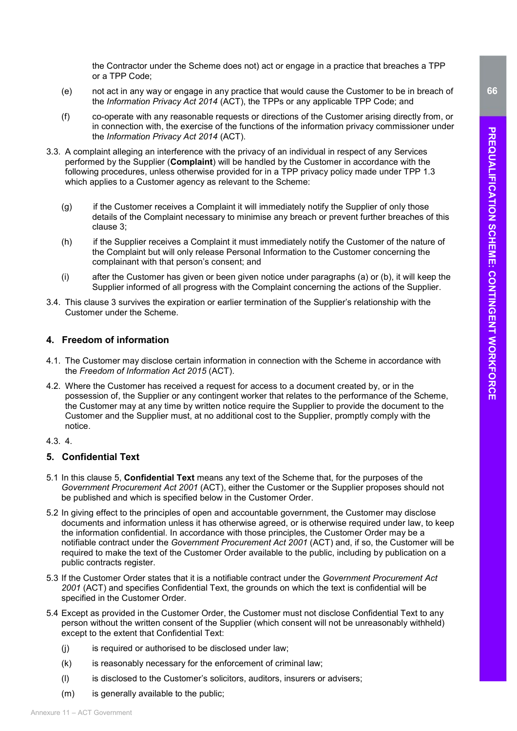the Contractor under the Scheme does not) act or engage in a practice that breaches a TPP or a TPP Code;

- (e) not act in any way or engage in any practice that would cause the Customer to be in breach of the Information Privacy Act 2014 (ACT), the TPPs or any applicable TPP Code; and
- (f) co-operate with any reasonable requests or directions of the Customer arising directly from, or in connection with, the exercise of the functions of the information privacy commissioner under the Information Privacy Act 2014 (ACT).
- 3.3. A complaint alleging an interference with the privacy of an individual in respect of any Services performed by the Supplier (Complaint) will be handled by the Customer in accordance with the following procedures, unless otherwise provided for in a TPP privacy policy made under TPP 1.3 which applies to a Customer agency as relevant to the Scheme:
	- (g) if the Customer receives a Complaint it will immediately notify the Supplier of only those details of the Complaint necessary to minimise any breach or prevent further breaches of this clause 3;
	- (h) if the Supplier receives a Complaint it must immediately notify the Customer of the nature of the Complaint but will only release Personal Information to the Customer concerning the complainant with that person's consent; and
	- (i) after the Customer has given or been given notice under paragraphs (a) or (b), it will keep the Supplier informed of all progress with the Complaint concerning the actions of the Supplier.
- 3.4. This clause 3 survives the expiration or earlier termination of the Supplier's relationship with the Customer under the Scheme.

### 4. Freedom of information

- 4.1. The Customer may disclose certain information in connection with the Scheme in accordance with the Freedom of Information Act 2015 (ACT).
- 4.2. Where the Customer has received a request for access to a document created by, or in the possession of, the Supplier or any contingent worker that relates to the performance of the Scheme, the Customer may at any time by written notice require the Supplier to provide the document to the Customer and the Supplier must, at no additional cost to the Supplier, promptly comply with the notice.
- 4.3. 4.

### 5. Confidential Text

- 5.1 In this clause 5, Confidential Text means any text of the Scheme that, for the purposes of the Government Procurement Act 2001 (ACT), either the Customer or the Supplier proposes should not be published and which is specified below in the Customer Order.
- 5.2 In giving effect to the principles of open and accountable government, the Customer may disclose documents and information unless it has otherwise agreed, or is otherwise required under law, to keep the information confidential. In accordance with those principles, the Customer Order may be a notifiable contract under the Government Procurement Act 2001 (ACT) and, if so, the Customer will be required to make the text of the Customer Order available to the public, including by publication on a public contracts register.
- 5.3 If the Customer Order states that it is a notifiable contract under the Government Procurement Act 2001 (ACT) and specifies Confidential Text, the grounds on which the text is confidential will be specified in the Customer Order.
- 5.4 Except as provided in the Customer Order, the Customer must not disclose Confidential Text to any person without the written consent of the Supplier (which consent will not be unreasonably withheld) except to the extent that Confidential Text:
	- (j) is required or authorised to be disclosed under law;
	- $(k)$  is reasonably necessary for the enforcement of criminal law;
	- (l) is disclosed to the Customer's solicitors, auditors, insurers or advisers;
	- (m) is generally available to the public;